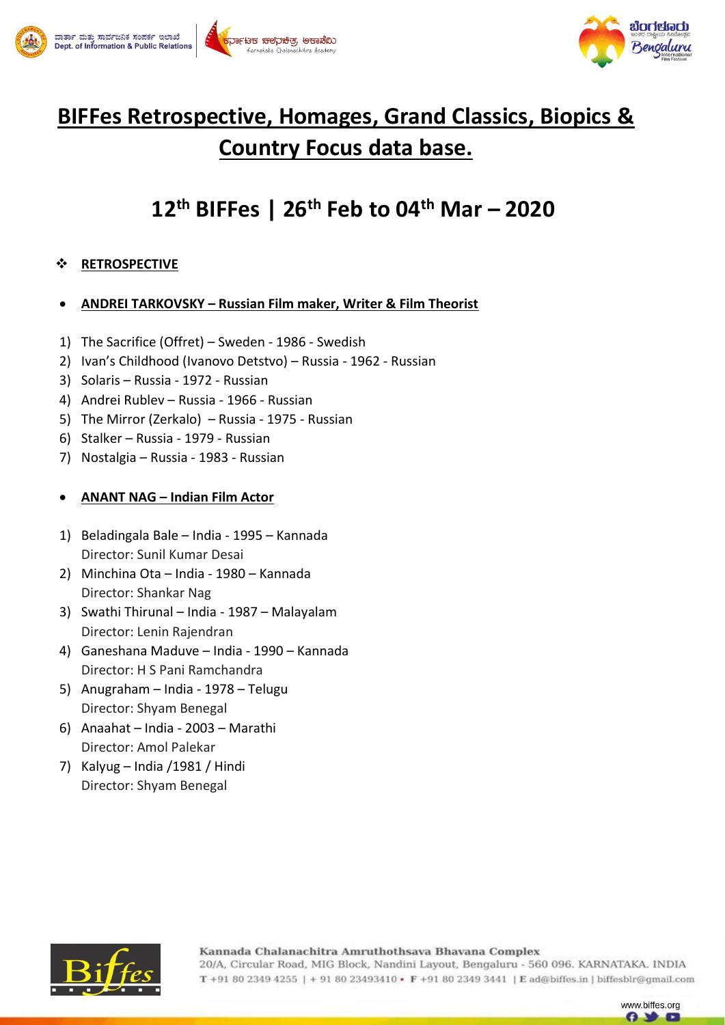



# **BIFFes Retrospective, Homages, Grand Classics, Biopics & Country Focus data base.**

# **12th BIFFes | 26th Feb to 04th Mar – 2020**

## **RETROSPECTIVE**

#### **ANDREI TARKOVSKY – Russian Film maker, Writer & Film Theorist**

- 1) The Sacrifice (Offret) Sweden 1986 Swedish
- 2) Ivan's Childhood (Ivanovo Detstvo) Russia 1962 Russian
- 3) Solaris Russia 1972 Russian
- 4) Andrei Rublev Russia 1966 Russian
- 5) The Mirror (Zerkalo) Russia 1975 Russian
- 6) Stalker Russia 1979 Russian
- 7) Nostalgia Russia 1983 Russian

#### **ANANT NAG – Indian Film Actor**

- 1) Beladingala Bale India 1995 Kannada Director: Sunil Kumar Desai
- 2) Minchina Ota India 1980 Kannada Director: Shankar Nag
- 3) Swathi Thirunal India 1987 Malayalam Director: Lenin Rajendran
- 4) Ganeshana Maduve India 1990 Kannada Director: H S Pani Ramchandra
- 5) Anugraham India 1978 Telugu Director: Shyam Benegal
- 6) Anaahat India 2003 Marathi Director: Amol Palekar
- 7) Kalyug India /1981 / Hindi Director: Shyam Benegal



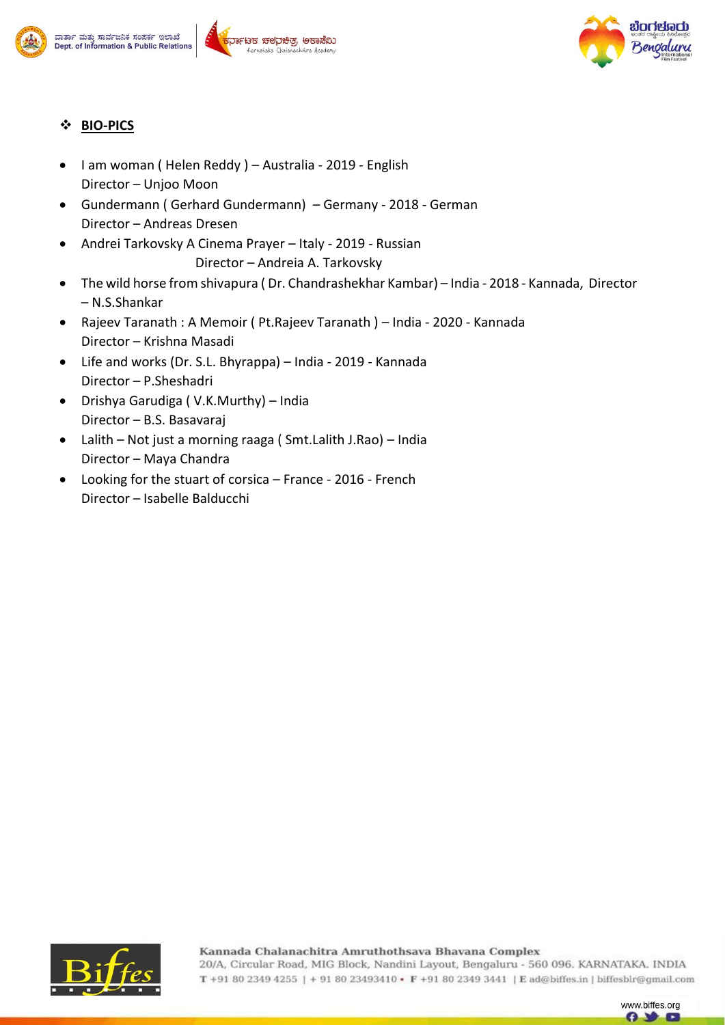









## **BIO-PICS**

- I am woman ( Helen Reddy ) Australia 2019 English Director – Unjoo Moon
- Gundermann ( Gerhard Gundermann) Germany 2018 German Director – Andreas Dresen
- Andrei Tarkovsky A Cinema Prayer Italy 2019 Russian Director – Andreia A. Tarkovsky
- The wild horse from shivapura ( Dr. Chandrashekhar Kambar) India 2018 Kannada, Director – N.S.Shankar
- Rajeev Taranath : A Memoir ( Pt.Rajeev Taranath ) India 2020 Kannada Director – Krishna Masadi
- Life and works (Dr. S.L. Bhyrappa) India 2019 Kannada Director – P.Sheshadri
- Drishya Garudiga ( V.K.Murthy) India Director – B.S. Basavaraj
- Lalith Not just a morning raaga ( Smt.Lalith J.Rao) India Director – Maya Chandra
- Looking for the stuart of corsica France 2016 French Director – Isabelle Balducchi



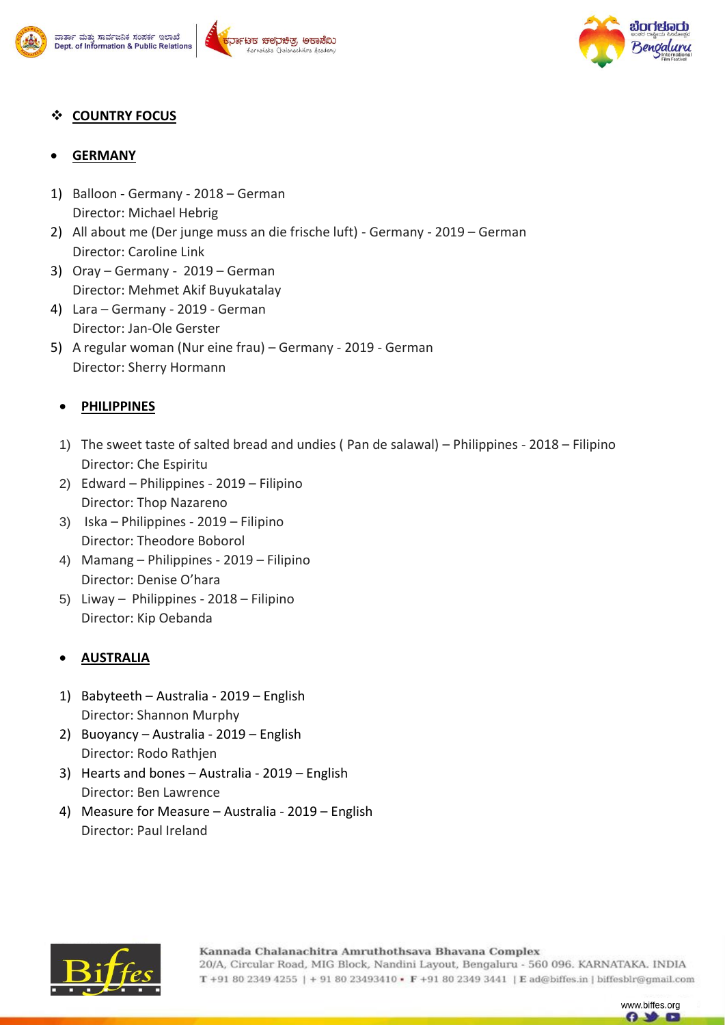







#### **COUNTRY FOCUS**

#### **GERMANY**

- 1) Balloon Germany 2018 German Director: Michael Hebrig
- 2) All about me (Der junge muss an die frische luft) Germany 2019 German Director: Caroline Link
- 3) Oray Germany 2019 German Director: Mehmet Akif Buyukatalay
- 4) Lara Germany 2019 German Director: Jan-Ole Gerster
- 5) A regular woman (Nur eine frau) Germany 2019 German Director: Sherry Hormann

## **PHILIPPINES**

- 1) The sweet taste of salted bread and undies ( Pan de salawal) Philippines 2018 Filipino Director: Che Espiritu
- 2) Edward Philippines 2019 Filipino Director: Thop Nazareno
- 3) Iska Philippines 2019 Filipino Director: Theodore Boborol
- 4) Mamang Philippines 2019 Filipino Director: Denise O'hara
- 5) Liway Philippines 2018 Filipino Director: Kip Oebanda

## **AUSTRALIA**

- 1) Babyteeth Australia 2019 English Director: Shannon Murphy
- 2) Buoyancy Australia 2019 English Director: Rodo Rathjen
- 3) Hearts and bones Australia 2019 English Director: Ben Lawrence
- 4) Measure for Measure Australia 2019 English Director: Paul Ireland



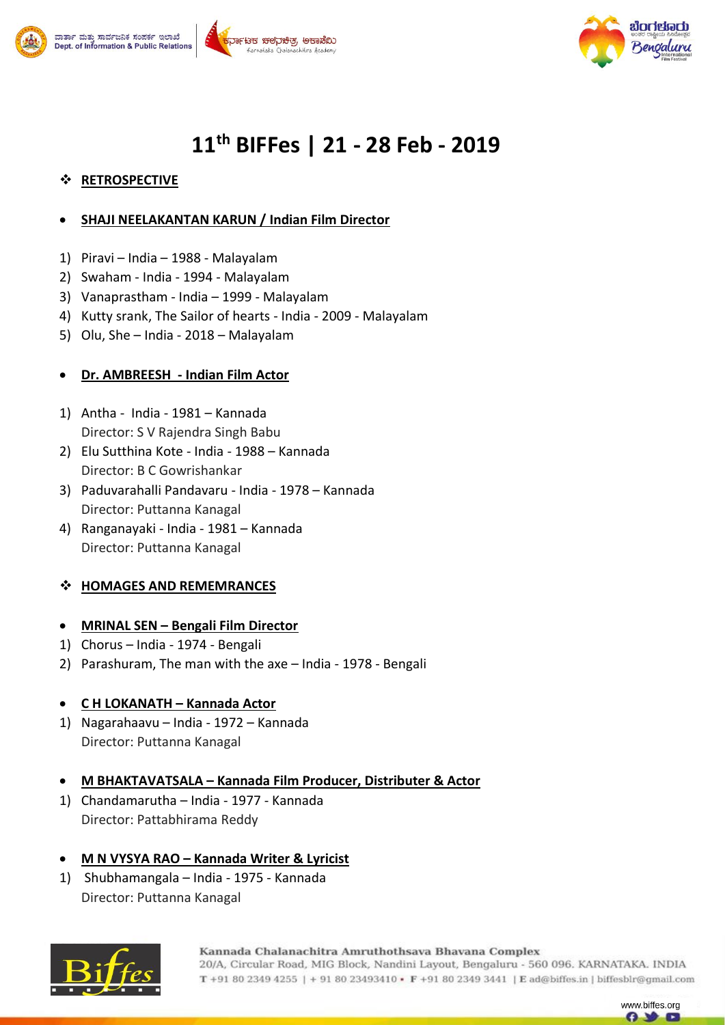





# **11th BIFFes | 21 - 28 Feb - 2019**

## **RETROSPECTIVE**

#### **SHAJI NEELAKANTAN KARUN / Indian Film Director**

- 1) Piravi India 1988 Malayalam
- 2) Swaham India 1994 Malayalam
- 3) Vanaprastham India 1999 Malayalam
- 4) Kutty srank, The Sailor of hearts India 2009 Malayalam
- 5) Olu, She India 2018 Malayalam

#### **Dr. AMBREESH - Indian Film Actor**

- 1) Antha India 1981 Kannada Director: S V Rajendra Singh Babu
- 2) Elu Sutthina Kote India 1988 Kannada Director: B C Gowrishankar
- 3) Paduvarahalli Pandavaru India 1978 Kannada Director: Puttanna Kanagal
- 4) Ranganayaki India 1981 Kannada Director: Puttanna Kanagal

## **HOMAGES AND REMEMRANCES**

#### **MRINAL SEN – Bengali Film Director**

- 1) Chorus India 1974 Bengali
- 2) Parashuram, The man with the axe India 1978 Bengali

#### **C H LOKANATH – Kannada Actor**

- 1) Nagarahaavu India 1972 Kannada Director: Puttanna Kanagal
- **M BHAKTAVATSALA – Kannada Film Producer, Distributer & Actor**
- 1) Chandamarutha India 1977 Kannada Director: Pattabhirama Reddy

## **M N VYSYA RAO – Kannada Writer & Lyricist**

1) Shubhamangala – India - 1975 - Kannada Director: Puttanna Kanagal



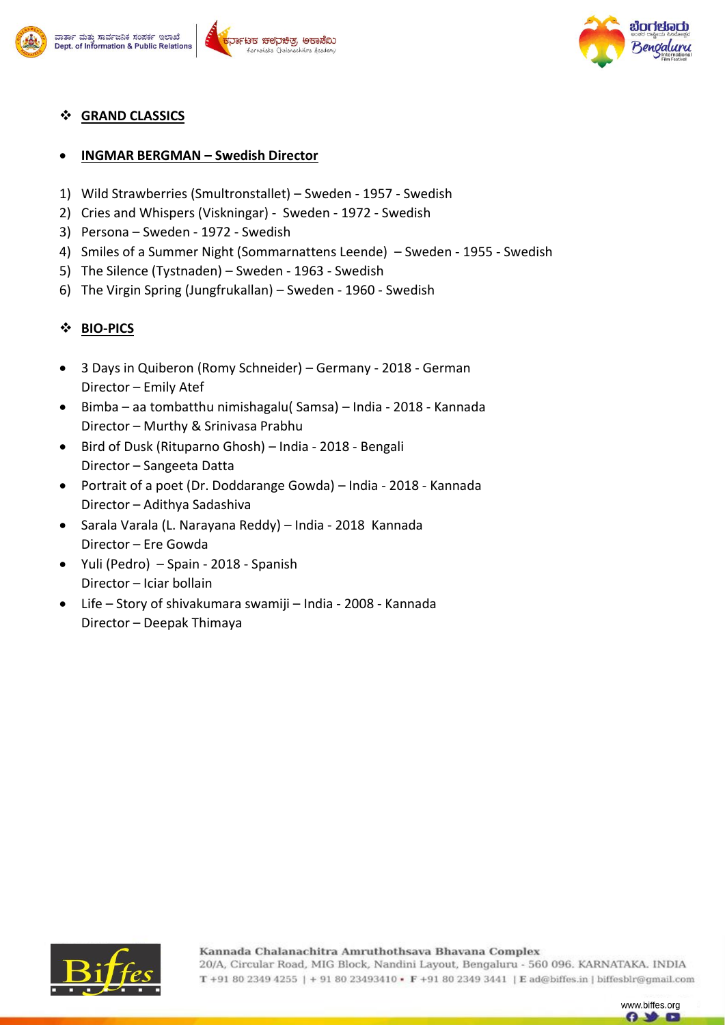





# **GRAND CLASSICS**

# **INGMAR BERGMAN – Swedish Director**

- 1) Wild Strawberries (Smultronstallet) Sweden 1957 Swedish
- 2) Cries and Whispers (Viskningar) Sweden 1972 Swedish
- 3) Persona Sweden 1972 Swedish
- 4) Smiles of a Summer Night (Sommarnattens Leende) Sweden 1955 Swedish
- 5) The Silence (Tystnaden) Sweden 1963 Swedish
- 6) The Virgin Spring (Jungfrukallan) Sweden 1960 Swedish

# **BIO-PICS**

- 3 Days in Quiberon (Romy Schneider) Germany 2018 German Director – Emily Atef
- Bimba aa tombatthu nimishagalu( Samsa) India 2018 Kannada Director – Murthy & Srinivasa Prabhu
- Bird of Dusk (Rituparno Ghosh) India 2018 Bengali Director – Sangeeta Datta
- Portrait of a poet (Dr. Doddarange Gowda) India 2018 Kannada Director – Adithya Sadashiva
- Sarala Varala (L. Narayana Reddy) India 2018 Kannada Director – Ere Gowda
- Yuli (Pedro) Spain 2018 Spanish Director – Iciar bollain
- Life Story of shivakumara swamiji India 2008 Kannada Director – Deepak Thimaya



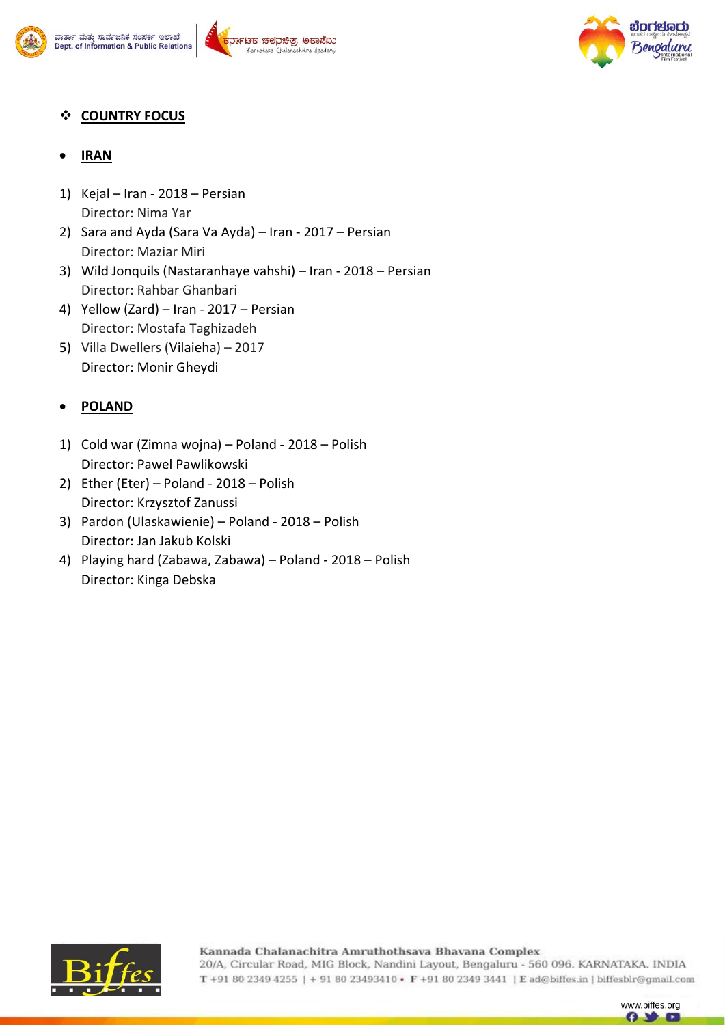



www.biffes.org G)

# **COUNTRY FOCUS**

- **IRAN**
- 1) Kejal Iran 2018 Persian Director: Nima Yar
- 2) Sara and Ayda (Sara Va Ayda) Iran 2017 Persian Director: Maziar Miri
- 3) Wild Jonquils (Nastaranhaye vahshi) Iran 2018 Persian Director: Rahbar Ghanbari
- 4) Yellow (Zard) Iran 2017 Persian Director: Mostafa Taghizadeh
- 5) Villa Dwellers (Vilaieha) 2017 Director: Monir Gheydi

## **POLAND**

- 1) Cold war (Zimna wojna) Poland 2018 Polish Director: Pawel Pawlikowski
- 2) Ether (Eter) Poland 2018 Polish Director: Krzysztof Zanussi
- 3) Pardon (Ulaskawienie) Poland 2018 Polish Director: Jan Jakub Kolski
- 4) Playing hard (Zabawa, Zabawa) Poland 2018 Polish Director: Kinga Debska

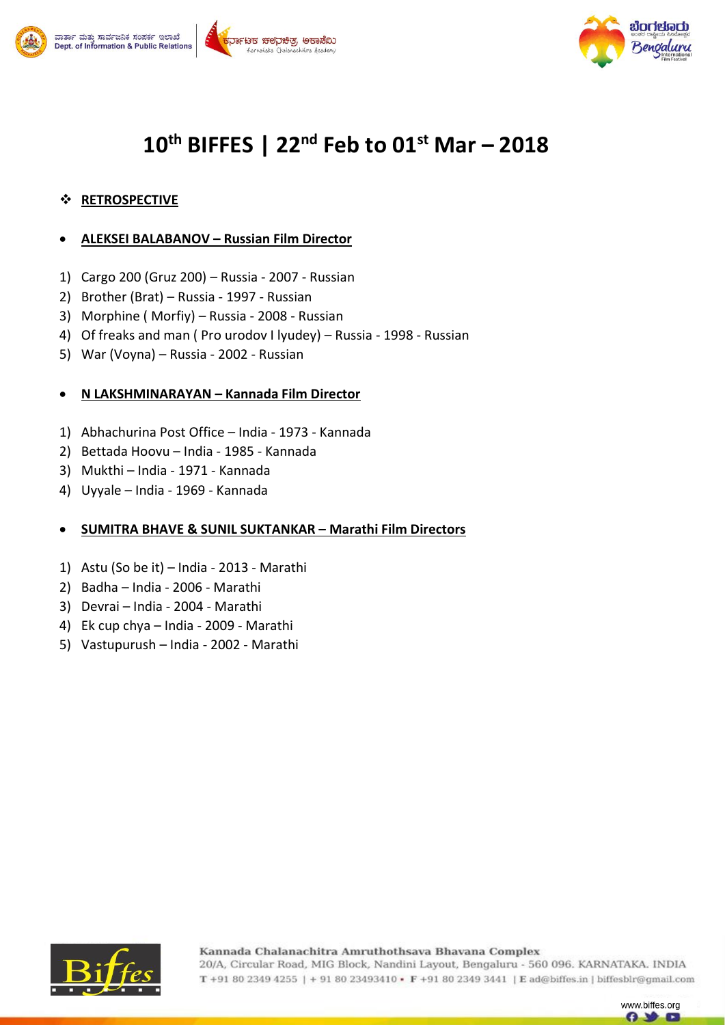

#### .<br>ಚಾನ್ ಮತ್ತು ಸಾರ್ವಜನಿಕ ಸಂಪರ್ಕ ಇಲಾಖೆ <sup>-</sup>ಟಕ ಚಲನಿಚಿತ, ಅಕಾಡೆಬ Dept. of Information & Public Relations



# **10th BIFFES | 22nd Feb to 01st Mar – 2018**

## **RETROSPECTIVE**

#### **ALEKSEI BALABANOV – Russian Film Director**

- 1) Cargo 200 (Gruz 200) Russia 2007 Russian
- 2) Brother (Brat) Russia 1997 Russian
- 3) Morphine ( Morfiy) Russia 2008 Russian
- 4) Of freaks and man ( Pro urodov I lyudey) Russia 1998 Russian
- 5) War (Voyna) Russia 2002 Russian

#### **N LAKSHMINARAYAN – Kannada Film Director**

- 1) Abhachurina Post Office India 1973 Kannada
- 2) Bettada Hoovu India 1985 Kannada
- 3) Mukthi India 1971 Kannada
- 4) Uyyale India 1969 Kannada

#### **SUMITRA BHAVE & SUNIL SUKTANKAR – Marathi Film Directors**

- 1) Astu (So be it) India 2013 Marathi
- 2) Badha India 2006 Marathi
- 3) Devrai India 2004 Marathi
- 4) Ek cup chya India 2009 Marathi
- 5) Vastupurush India 2002 Marathi



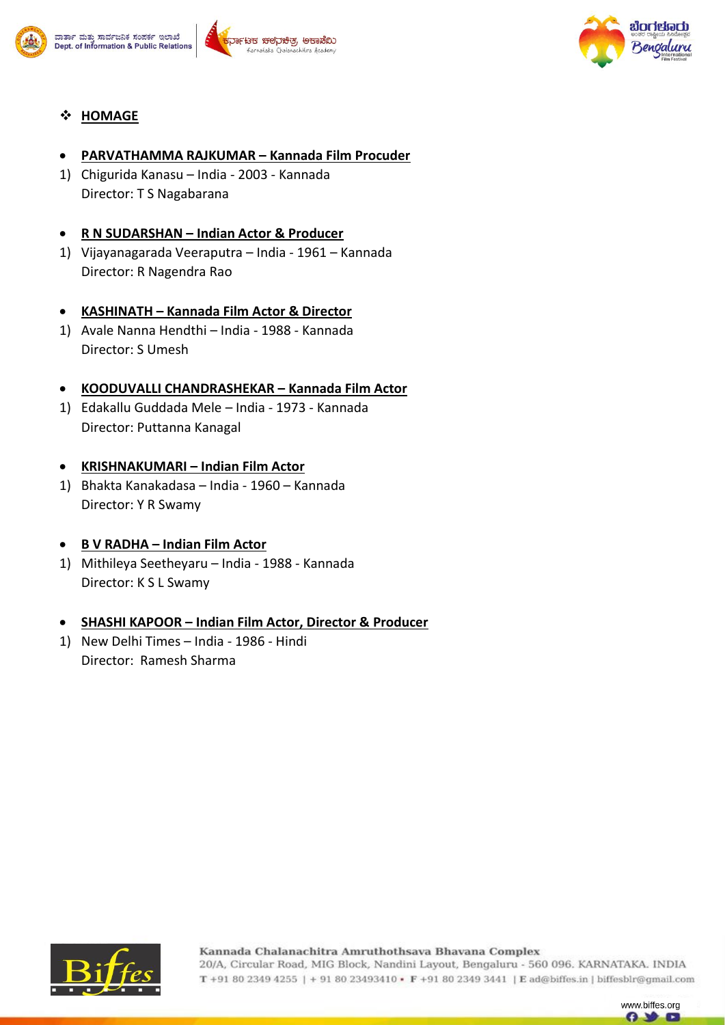





### **HOMAGE**

#### **PARVATHAMMA RAJKUMAR – Kannada Film Procuder**

1) Chigurida Kanasu – India - 2003 - Kannada Director: T S Nagabarana

#### **R N SUDARSHAN – Indian Actor & Producer**

1) Vijayanagarada Veeraputra – India - 1961 – Kannada Director: R Nagendra Rao

#### **KASHINATH – Kannada Film Actor & Director**

1) Avale Nanna Hendthi – India - 1988 - Kannada Director: S Umesh

#### **KOODUVALLI CHANDRASHEKAR – Kannada Film Actor**

1) Edakallu Guddada Mele – India - 1973 - Kannada Director: Puttanna Kanagal

#### **KRISHNAKUMARI – Indian Film Actor**

1) Bhakta Kanakadasa – India - 1960 – Kannada Director: Y R Swamy

#### **B V RADHA – Indian Film Actor**

1) Mithileya Seetheyaru – India - 1988 - Kannada Director: K S L Swamy

#### **SHASHI KAPOOR – Indian Film Actor, Director & Producer**

1) New Delhi Times – India - 1986 - Hindi Director: Ramesh Sharma



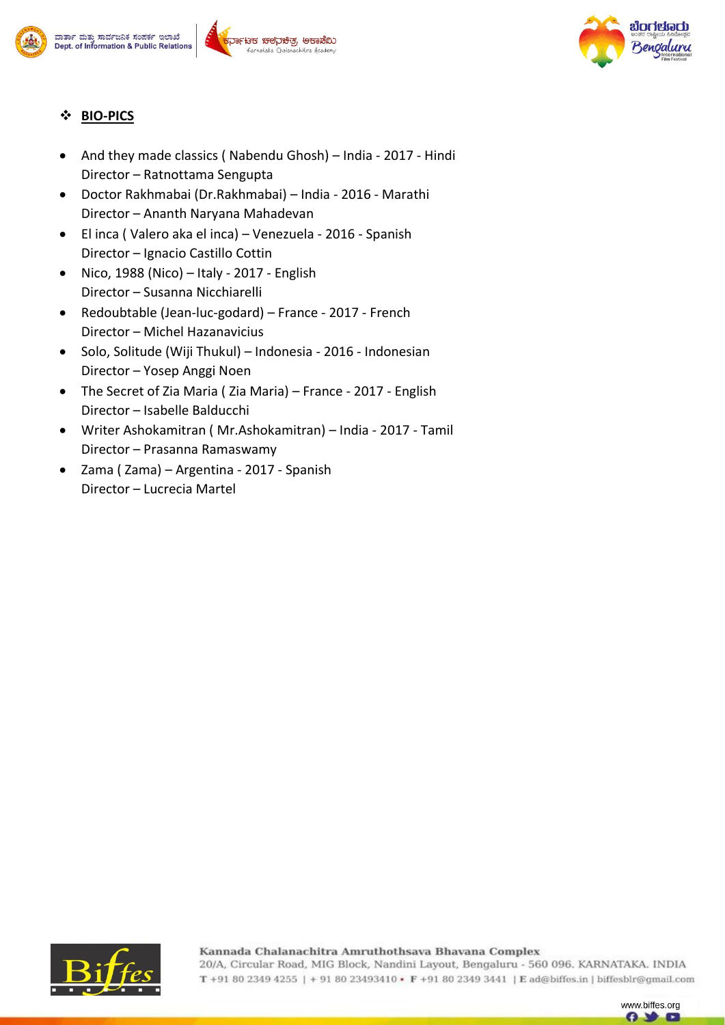







## **BIO-PICS**

- And they made classics ( Nabendu Ghosh) India 2017 Hindi Director – Ratnottama Sengupta
- Doctor Rakhmabai (Dr.Rakhmabai) India 2016 Marathi Director – Ananth Naryana Mahadevan
- El inca ( Valero aka el inca) Venezuela 2016 Spanish Director – Ignacio Castillo Cottin
- Nico, 1988 (Nico) Italy 2017 English Director – Susanna Nicchiarelli
- Redoubtable (Jean-luc-godard) France 2017 French Director – Michel Hazanavicius
- Solo, Solitude (Wiji Thukul) Indonesia 2016 Indonesian Director – Yosep Anggi Noen
- The Secret of Zia Maria ( Zia Maria) France 2017 English Director – Isabelle Balducchi
- Writer Ashokamitran ( Mr.Ashokamitran) India 2017 Tamil Director – Prasanna Ramaswamy
- Zama ( Zama) Argentina 2017 Spanish Director – Lucrecia Martel



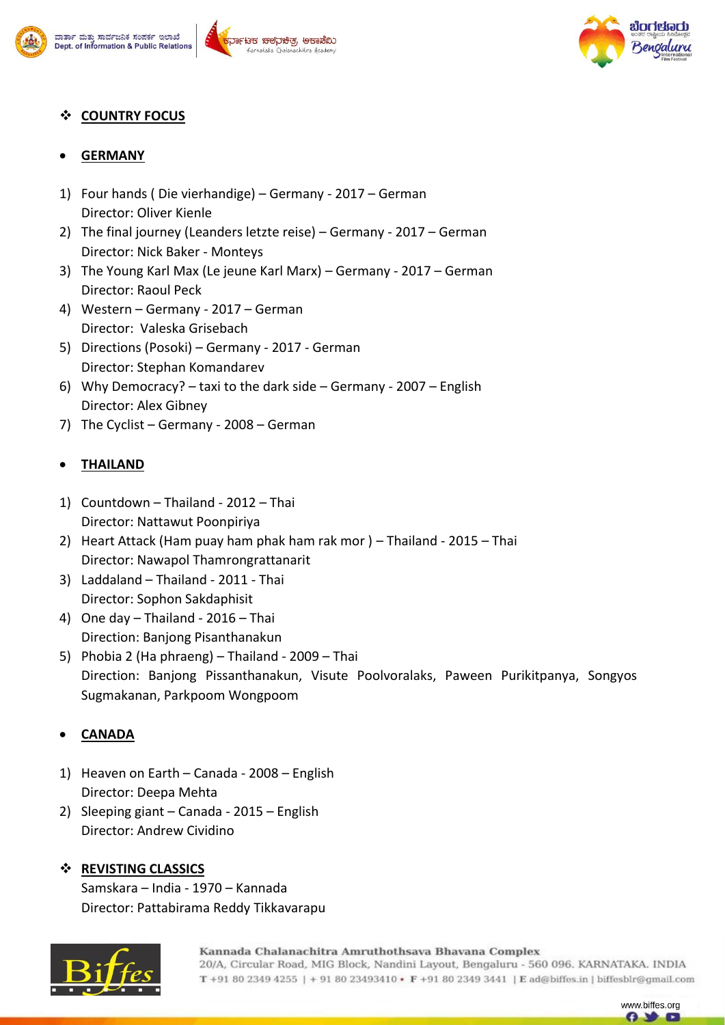







## **COUNTRY FOCUS**

### **GERMANY**

- 1) Four hands ( Die vierhandige) Germany 2017 German Director: Oliver Kienle
- 2) The final journey (Leanders letzte reise) Germany 2017 German Director: Nick Baker - Monteys
- 3) The Young Karl Max (Le jeune Karl Marx) Germany 2017 German Director: Raoul Peck
- 4) Western Germany 2017 German Director: Valeska Grisebach
- 5) Directions (Posoki) Germany 2017 German Director: Stephan Komandarev
- 6) Why Democracy? taxi to the dark side Germany 2007 English Director: Alex Gibney
- 7) The Cyclist Germany 2008 German

## **THAILAND**

- 1) Countdown Thailand 2012 Thai Director: Nattawut Poonpiriya
- 2) Heart Attack (Ham puay ham phak ham rak mor ) Thailand 2015 Thai Director: Nawapol Thamrongrattanarit
- 3) Laddaland Thailand 2011 Thai Director: Sophon Sakdaphisit
- 4) One day Thailand 2016 Thai Direction: Banjong Pisanthanakun
- 5) Phobia 2 (Ha phraeng) Thailand 2009 Thai Direction: Banjong Pissanthanakun, Visute Poolvoralaks, Paween Purikitpanya, Songyos Sugmakanan, Parkpoom Wongpoom

## **CANADA**

- 1) Heaven on Earth Canada 2008 English Director: Deepa Mehta
- 2) Sleeping giant Canada 2015 English Director: Andrew Cividino

#### **REVISTING CLASSICS** Samskara – India - 1970 – Kannada Director: Pattabirama Reddy Tikkavarapu



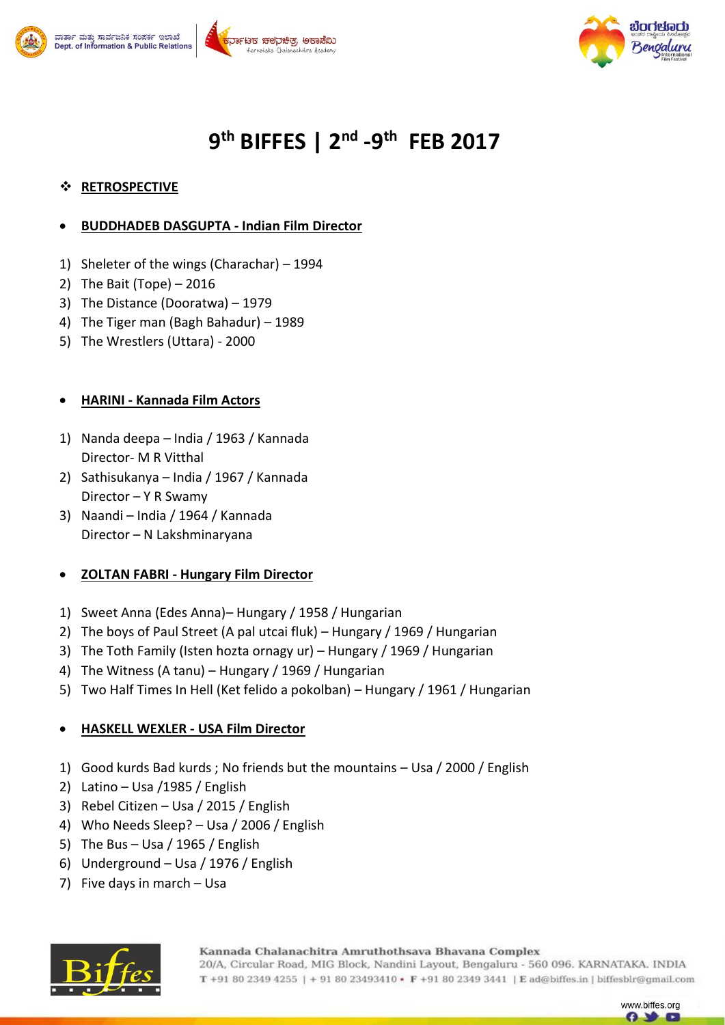





# **9 th BIFFES | 2nd -9 th FEB 2017**

### **RETROSPECTIVE**

#### **BUDDHADEB DASGUPTA - Indian Film Director**

- 1) Sheleter of the wings (Charachar) 1994
- 2) The Bait (Tope) 2016
- 3) The Distance (Dooratwa) 1979
- 4) The Tiger man (Bagh Bahadur) 1989
- 5) The Wrestlers (Uttara) 2000

#### **HARINI - Kannada Film Actors**

- 1) Nanda deepa India / 1963 / Kannada Director- M R Vitthal
- 2) Sathisukanya India / 1967 / Kannada Director – Y R Swamy
- 3) Naandi India / 1964 / Kannada Director – N Lakshminaryana

#### **ZOLTAN FABRI - Hungary Film Director**

- 1) Sweet Anna (Edes Anna)– Hungary / 1958 / Hungarian
- 2) The boys of Paul Street (A pal utcai fluk) Hungary / 1969 / Hungarian
- 3) The Toth Family (Isten hozta ornagy ur) Hungary / 1969 / Hungarian
- 4) The Witness (A tanu) Hungary / 1969 / Hungarian
- 5) Two Half Times In Hell (Ket felido a pokolban) Hungary / 1961 / Hungarian

## **HASKELL WEXLER - USA Film Director**

- 1) Good kurds Bad kurds ; No friends but the mountains Usa / 2000 / English
- 2) Latino Usa /1985 / English
- 3) Rebel Citizen Usa / 2015 / English
- 4) Who Needs Sleep? Usa / 2006 / English
- 5) The Bus Usa / 1965 / English
- 6) Underground Usa / 1976 / English
- 7) Five days in march Usa



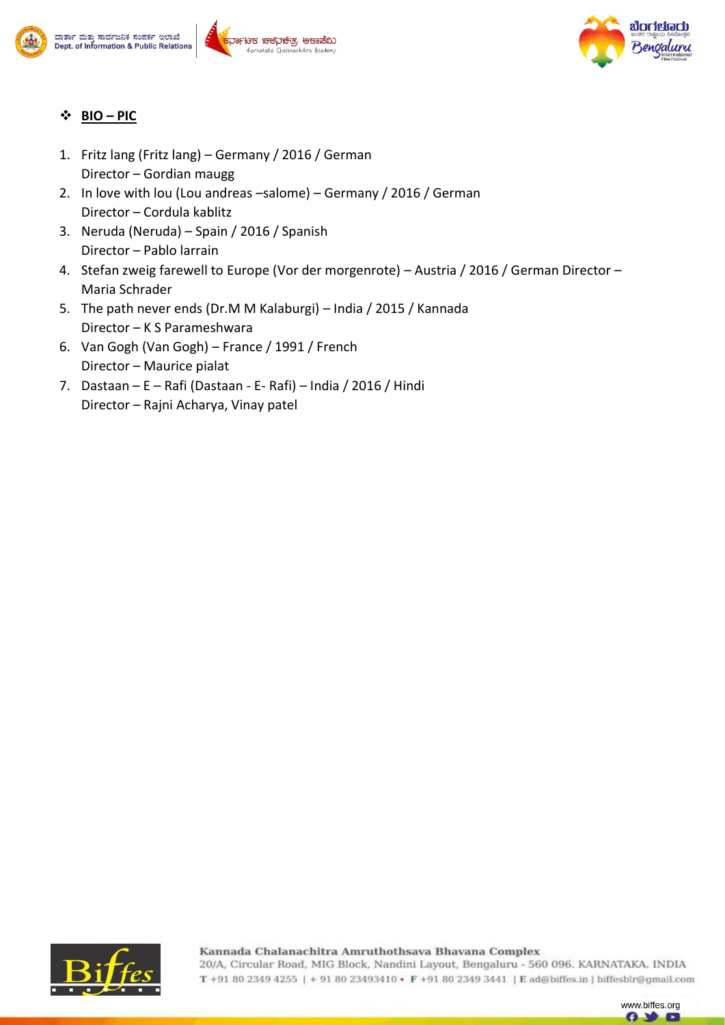







#### **BIO – PIC**

- 1. Fritz lang (Fritz lang) Germany / 2016 / German Director – Gordian maugg
- 2. In love with lou (Lou andreas –salome) Germany / 2016 / German Director – Cordula kablitz
- 3. Neruda (Neruda) Spain / 2016 / Spanish Director – Pablo larrain
- 4. Stefan zweig farewell to Europe (Vor der morgenrote) Austria / 2016 / German Director Maria Schrader
- 5. The path never ends (Dr.M M Kalaburgi) India / 2015 / Kannada Director – K S Parameshwara
- 6. Van Gogh (Van Gogh) France / 1991 / French Director – Maurice pialat
- 7. Dastaan E Rafi (Dastaan E- Rafi) India / 2016 / Hindi Director – Rajni Acharya, Vinay patel



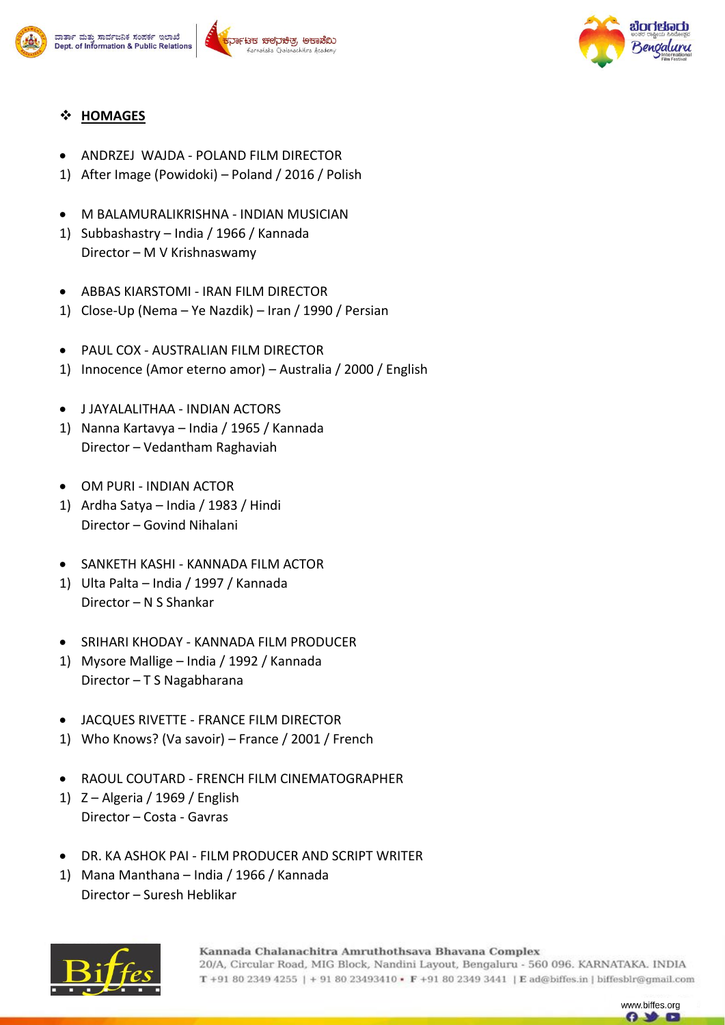





#### **HOMAGES**

- ANDRZEJ WAJDA POLAND FILM DIRECTOR
- 1) After Image (Powidoki) Poland / 2016 / Polish
- M BALAMURALIKRISHNA INDIAN MUSICIAN
- 1) Subbashastry India / 1966 / Kannada Director – M V Krishnaswamy
- ABBAS KIARSTOMI IRAN FILM DIRECTOR
- 1) Close-Up (Nema Ye Nazdik) Iran / 1990 / Persian
- PAUL COX AUSTRALIAN FILM DIRECTOR
- 1) Innocence (Amor eterno amor) Australia / 2000 / English
- J JAYALALITHAA INDIAN ACTORS
- 1) Nanna Kartavya India / 1965 / Kannada Director – Vedantham Raghaviah
- OM PURI INDIAN ACTOR
- 1) Ardha Satya India / 1983 / Hindi Director – Govind Nihalani
- SANKETH KASHI KANNADA FILM ACTOR
- 1) Ulta Palta India / 1997 / Kannada Director – N S Shankar
- SRIHARI KHODAY KANNADA FILM PRODUCER
- 1) Mysore Mallige India / 1992 / Kannada Director – T S Nagabharana
- JACQUES RIVETTE FRANCE FILM DIRECTOR
- 1) Who Knows? (Va savoir) France / 2001 / French
- RAOUL COUTARD FRENCH FILM CINEMATOGRAPHER
- 1) Z Algeria / 1969 / English Director – Costa - Gavras
- DR. KA ASHOK PAI FILM PRODUCER AND SCRIPT WRITER
- 1) Mana Manthana India / 1966 / Kannada Director – Suresh Heblikar



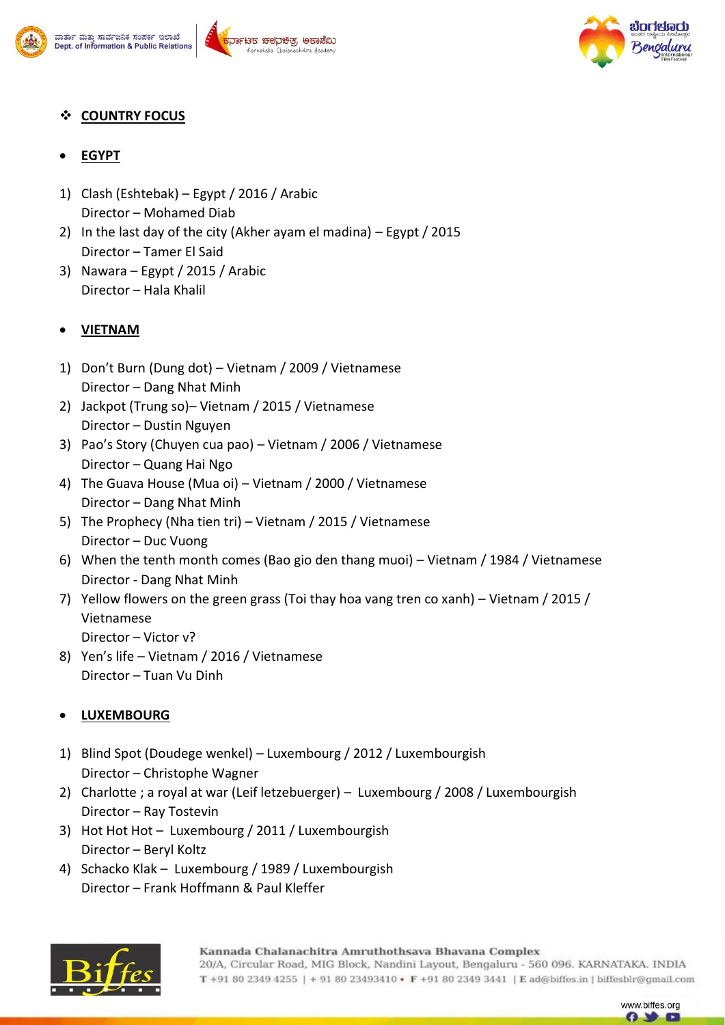





## **COUNTRY FOCUS**

## **EGYPT**

- 1) Clash (Eshtebak) Egypt / 2016 / Arabic Director – Mohamed Diab
- 2) In the last day of the city (Akher ayam el madina) Egypt / 2015 Director – Tamer El Said
- 3) Nawara Egypt / 2015 / Arabic Director – Hala Khalil

## **VIETNAM**

- 1) Don't Burn (Dung dot) Vietnam / 2009 / Vietnamese Director – Dang Nhat Minh
- 2) Jackpot (Trung so)– Vietnam / 2015 / Vietnamese Director – Dustin Nguyen
- 3) Pao's Story (Chuyen cua pao) Vietnam / 2006 / Vietnamese Director – Quang Hai Ngo
- 4) The Guava House (Mua oi) Vietnam / 2000 / Vietnamese Director – Dang Nhat Minh
- 5) The Prophecy (Nha tien tri) Vietnam / 2015 / Vietnamese Director – Duc Vuong
- 6) When the tenth month comes (Bao gio den thang muoi) Vietnam / 1984 / Vietnamese Director - Dang Nhat Minh
- 7) Yellow flowers on the green grass (Toi thay hoa vang tren co xanh) Vietnam / 2015 / Vietnamese
	- Director Victor v?
- 8) Yen's life Vietnam / 2016 / Vietnamese Director – Tuan Vu Dinh

## **LUXEMBOURG**

- 1) Blind Spot (Doudege wenkel) Luxembourg / 2012 / Luxembourgish Director – Christophe Wagner
- 2) Charlotte ; a royal at war (Leif letzebuerger) Luxembourg / 2008 / Luxembourgish Director – Ray Tostevin
- 3) Hot Hot Hot Luxembourg / 2011 / Luxembourgish Director – Beryl Koltz
- 4) Schacko Klak Luxembourg / 1989 / Luxembourgish Director – Frank Hoffmann & Paul Kleffer



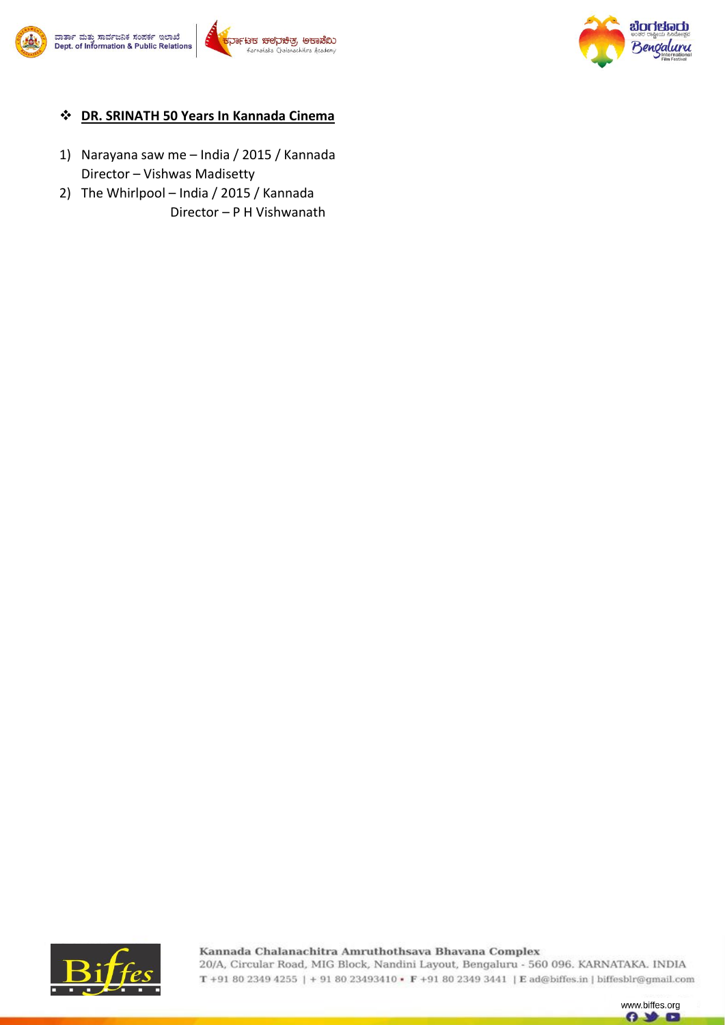





#### **DR. SRINATH 50 Years In Kannada Cinema**

- 1) Narayana saw me India / 2015 / Kannada Director – Vishwas Madisetty
- 2) The Whirlpool India / 2015 / Kannada Director – P H Vishwanath



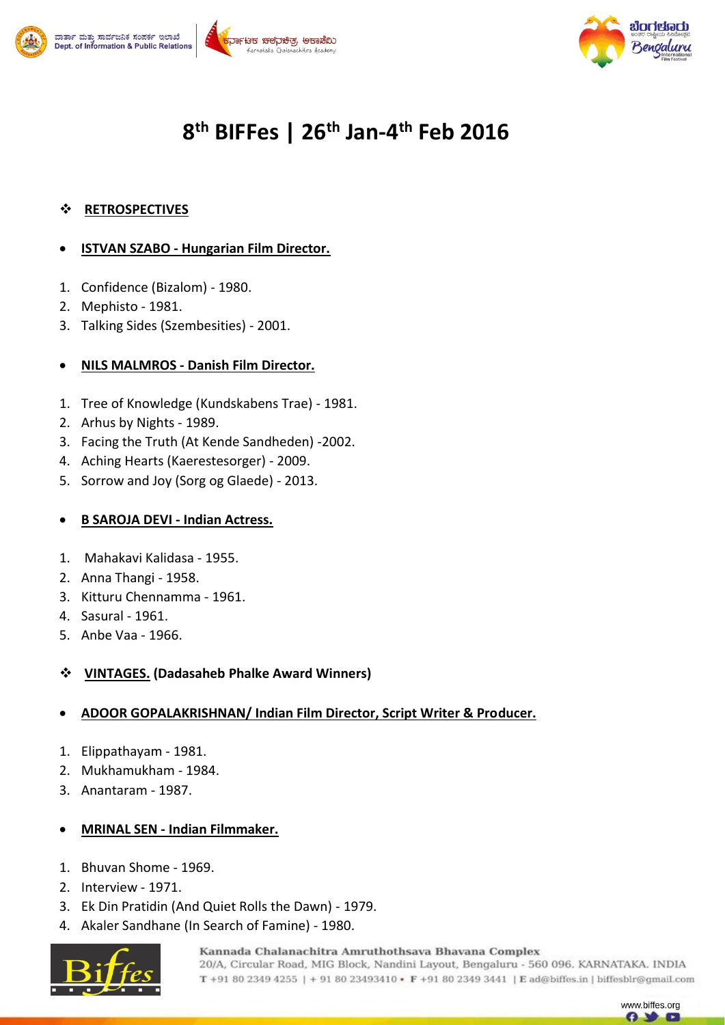





# **8 th BIFFes | 26th Jan-4 th Feb 2016**

### **RETROSPECTIVES**

#### **ISTVAN SZABO - Hungarian Film Director.**

- 1. Confidence (Bizalom) 1980.
- 2. Mephisto 1981.
- 3. Talking Sides (Szembesities) 2001.

#### **NILS MALMROS - Danish Film Director.**

- 1. Tree of Knowledge (Kundskabens Trae) 1981.
- 2. Arhus by Nights 1989.
- 3. Facing the Truth (At Kende Sandheden) -2002.
- 4. Aching Hearts (Kaerestesorger) 2009.
- 5. Sorrow and Joy (Sorg og Glaede) 2013.

### **B SAROJA DEVI - Indian Actress.**

- 1. Mahakavi Kalidasa 1955.
- 2. Anna Thangi 1958.
- 3. Kitturu Chennamma 1961.
- 4. Sasural 1961.
- 5. Anbe Vaa 1966.

#### **VINTAGES. (Dadasaheb Phalke Award Winners)**

#### **ADOOR GOPALAKRISHNAN/ Indian Film Director, Script Writer & Producer.**

- 1. Elippathayam 1981.
- 2. Mukhamukham 1984.
- 3. Anantaram 1987.

#### **MRINAL SEN - Indian Filmmaker.**

- 1. Bhuvan Shome 1969.
- 2. Interview 1971.
- 3. Ek Din Pratidin (And Quiet Rolls the Dawn) 1979.
- 4. Akaler Sandhane (In Search of Famine) 1980.



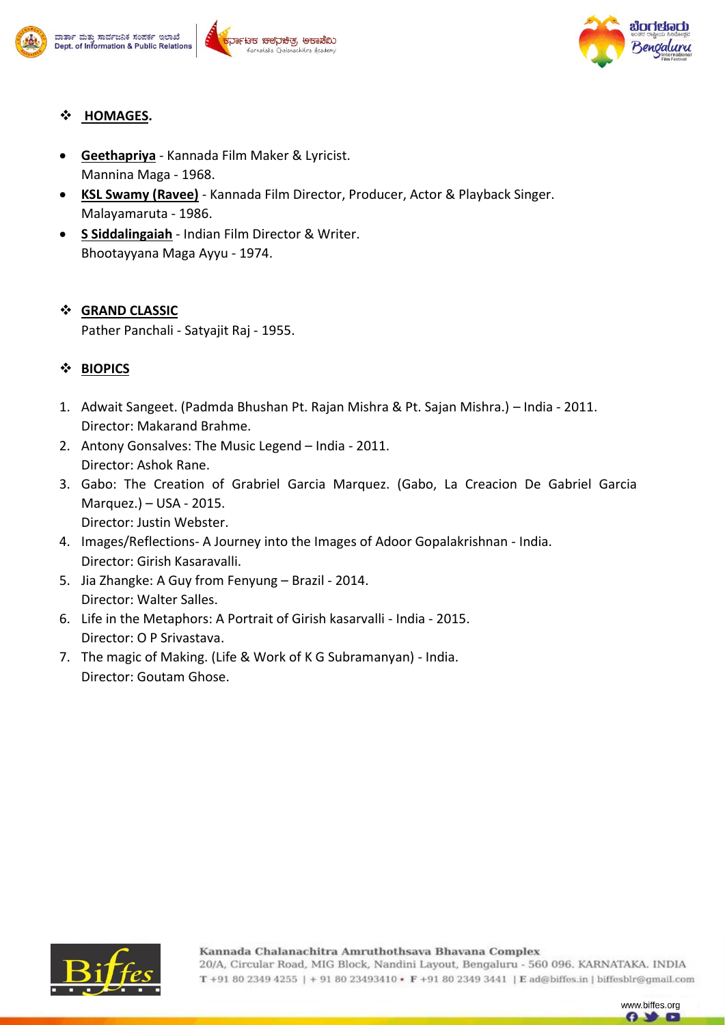





# **HOMAGES.**

- **Geethapriya** Kannada Film Maker & Lyricist. Mannina Maga - 1968.
- **KSL Swamy (Ravee)** Kannada Film Director, Producer, Actor & Playback Singer. Malayamaruta - 1986.
- **S Siddalingaiah** Indian Film Director & Writer. Bhootayyana Maga Ayyu - 1974.

# **GRAND CLASSIC**

Pather Panchali - Satyajit Raj - 1955.

# **BIOPICS**

- 1. Adwait Sangeet. (Padmda Bhushan Pt. Rajan Mishra & Pt. Sajan Mishra.) India 2011. Director: Makarand Brahme.
- 2. Antony Gonsalves: The Music Legend India 2011. Director: Ashok Rane.
- 3. Gabo: The Creation of Grabriel Garcia Marquez. (Gabo, La Creacion De Gabriel Garcia Marquez.) – USA - 2015. Director: Justin Webster.
- 4. Images/Reflections- A Journey into the Images of Adoor Gopalakrishnan India. Director: Girish Kasaravalli.
- 5. Jia Zhangke: A Guy from Fenyung Brazil 2014. Director: Walter Salles.
- 6. Life in the Metaphors: A Portrait of Girish kasarvalli India 2015. Director: O P Srivastava.
- 7. The magic of Making. (Life & Work of K G Subramanyan) India. Director: Goutam Ghose.



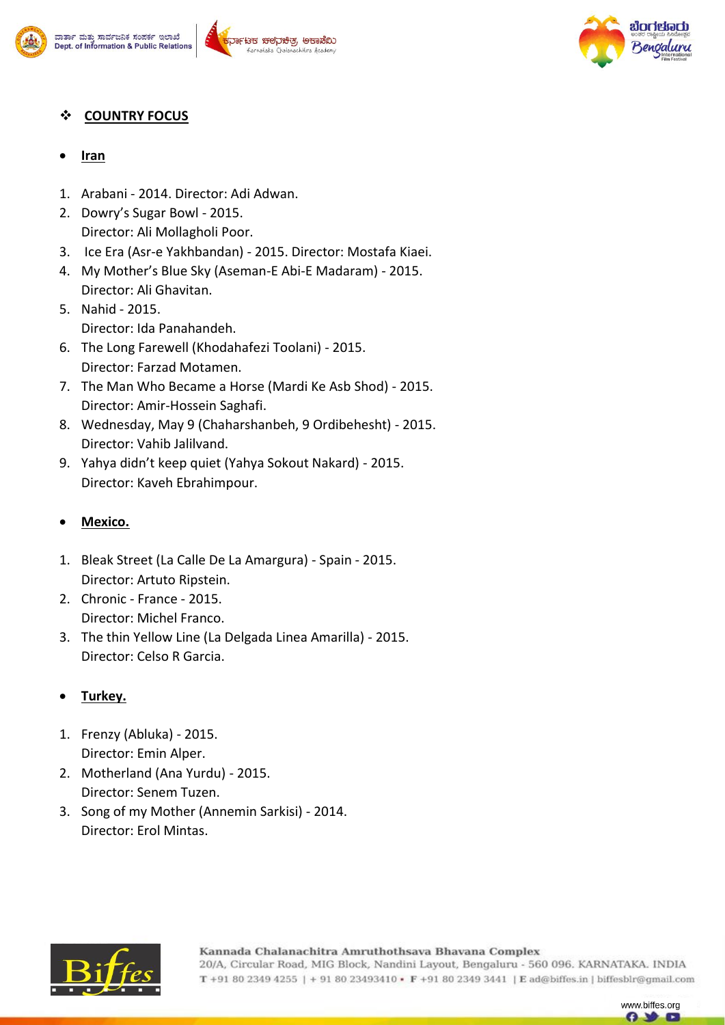





## **COUNTRY FOCUS**

- **Iran**
- 1. Arabani 2014. Director: Adi Adwan.
- 2. Dowry's Sugar Bowl 2015. Director: Ali Mollagholi Poor.
- 3. Ice Era (Asr-e Yakhbandan) 2015. Director: Mostafa Kiaei.
- 4. My Mother's Blue Sky (Aseman-E Abi-E Madaram) 2015. Director: Ali Ghavitan.
- 5. Nahid 2015. Director: Ida Panahandeh.
- 6. The Long Farewell (Khodahafezi Toolani) 2015. Director: Farzad Motamen.
- 7. The Man Who Became a Horse (Mardi Ke Asb Shod) 2015. Director: Amir-Hossein Saghafi.
- 8. Wednesday, May 9 (Chaharshanbeh, 9 Ordibehesht) 2015. Director: Vahib Jalilvand.
- 9. Yahya didn't keep quiet (Yahya Sokout Nakard) 2015. Director: Kaveh Ebrahimpour.

## **Mexico.**

- 1. Bleak Street (La Calle De La Amargura) Spain 2015. Director: Artuto Ripstein.
- 2. Chronic France 2015. Director: Michel Franco.
- 3. The thin Yellow Line (La Delgada Linea Amarilla) 2015. Director: Celso R Garcia.

## **Turkey.**

- 1. Frenzy (Abluka) 2015. Director: Emin Alper.
- 2. Motherland (Ana Yurdu) 2015. Director: Senem Tuzen.
- 3. Song of my Mother (Annemin Sarkisi) 2014. Director: Erol Mintas.



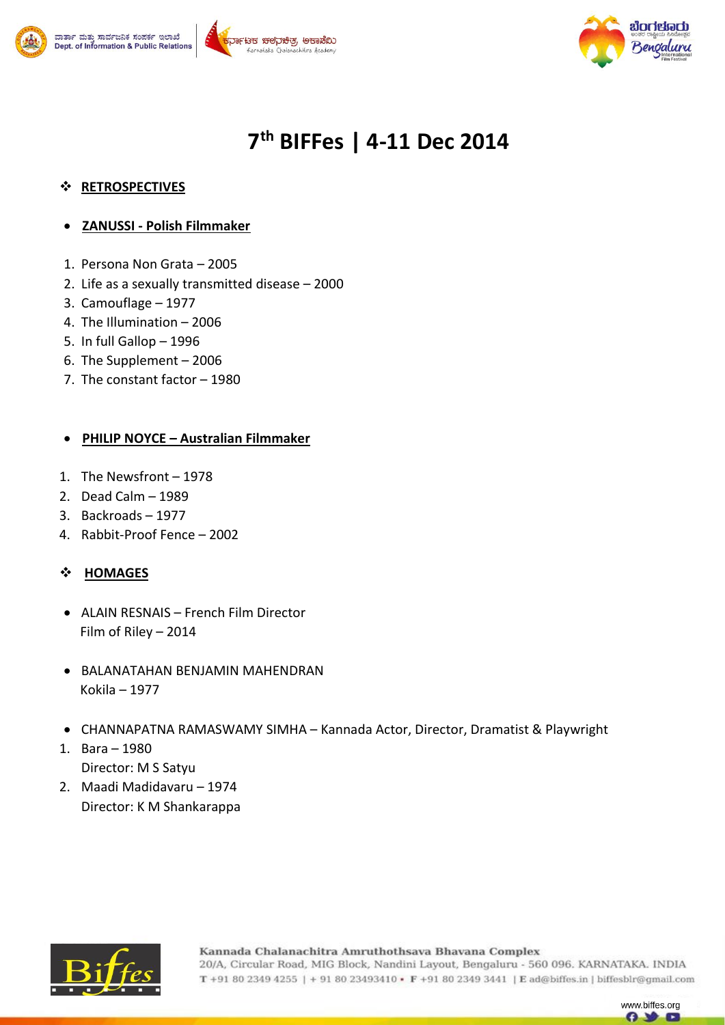





www.biffes.org G)

# **7 th BIFFes | 4-11 Dec 2014**

### **RETROSPECTIVES**

- **ZANUSSI - Polish Filmmaker**
- 1. Persona Non Grata 2005
- 2. Life as a sexually transmitted disease 2000
- 3. Camouflage 1977
- 4. The Illumination 2006
- 5. In full Gallop 1996
- 6. The Supplement 2006
- 7. The constant factor 1980

#### **PHILIP NOYCE – Australian Filmmaker**

- 1. The Newsfront 1978
- 2. Dead Calm 1989
- 3. Backroads 1977
- 4. Rabbit-Proof Fence 2002

## **HOMAGES**

- ALAIN RESNAIS French Film Director Film of Riley – 2014
- BALANATAHAN BENJAMIN MAHENDRAN Kokila – 1977
- CHANNAPATNA RAMASWAMY SIMHA Kannada Actor, Director, Dramatist & Playwright
- 1. Bara 1980 Director: M S Satyu
- 2. Maadi Madidavaru 1974 Director: K M Shankarappa

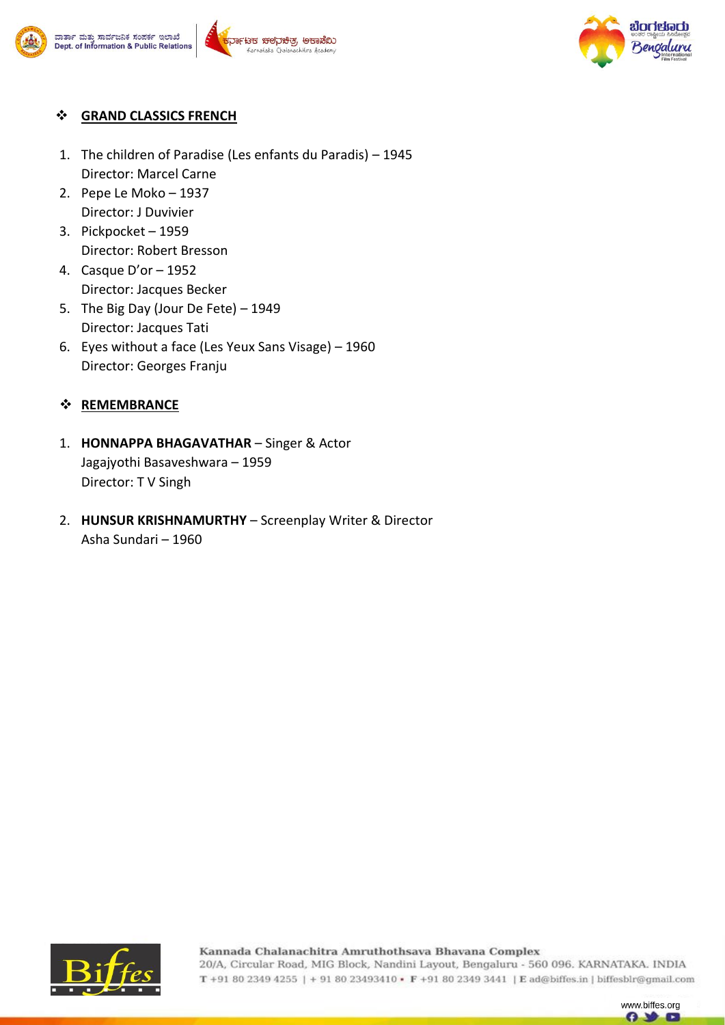





#### $\div$  GRAND CLASSICS FRENCH

- 1. The children of Paradise (Les enfants du Paradis) 1945 Director: Marcel Carne
- 2. Pepe Le Moko 1937 Director: J Duvivier
- 3. Pickpocket 1959 Director: Robert Bresson
- 4. Casque D'or 1952 Director: Jacques Becker
- 5. The Big Day (Jour De Fete) 1949 Director: Jacques Tati
- 6. Eyes without a face (Les Yeux Sans Visage) 1960 Director: Georges Franju

## **❖ REMEMBRANCE**

- 1. **HONNAPPA BHAGAVATHAR** Singer & Actor Jagajyothi Basaveshwara – 1959 Director: T V Singh
- 2. **HUNSUR KRISHNAMURTHY** Screenplay Writer & Director Asha Sundari – 1960



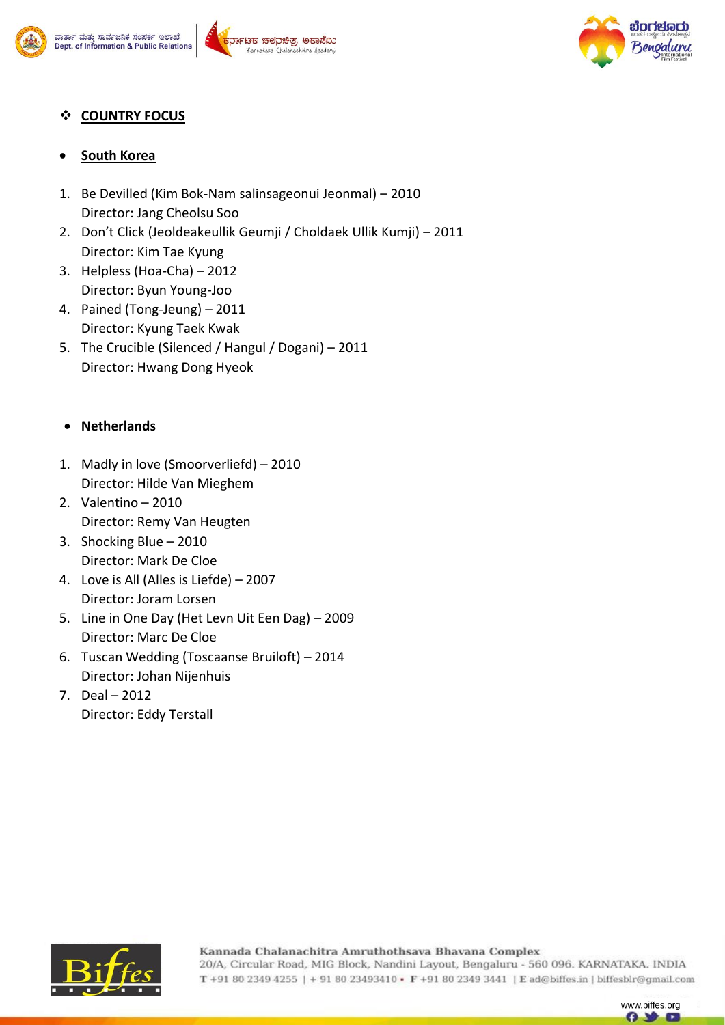







## **COUNTRY FOCUS**

## **South Korea**

- 1. Be Devilled (Kim Bok-Nam salinsageonui Jeonmal) 2010 Director: Jang Cheolsu Soo
- 2. Don't Click (Jeoldeakeullik Geumji / Choldaek Ullik Kumji) 2011 Director: Kim Tae Kyung
- 3. Helpless (Hoa-Cha) 2012 Director: Byun Young-Joo
- 4. Pained (Tong-Jeung) 2011 Director: Kyung Taek Kwak
- 5. The Crucible (Silenced / Hangul / Dogani) 2011 Director: Hwang Dong Hyeok

## **Netherlands**

- 1. Madly in love (Smoorverliefd) 2010 Director: Hilde Van Mieghem
- 2. Valentino 2010 Director: Remy Van Heugten
- 3. Shocking Blue 2010 Director: Mark De Cloe
- 4. Love is All (Alles is Liefde) 2007 Director: Joram Lorsen
- 5. Line in One Day (Het Levn Uit Een Dag) 2009 Director: Marc De Cloe
- 6. Tuscan Wedding (Toscaanse Bruiloft) 2014 Director: Johan Nijenhuis
- 7. Deal 2012 Director: Eddy Terstall



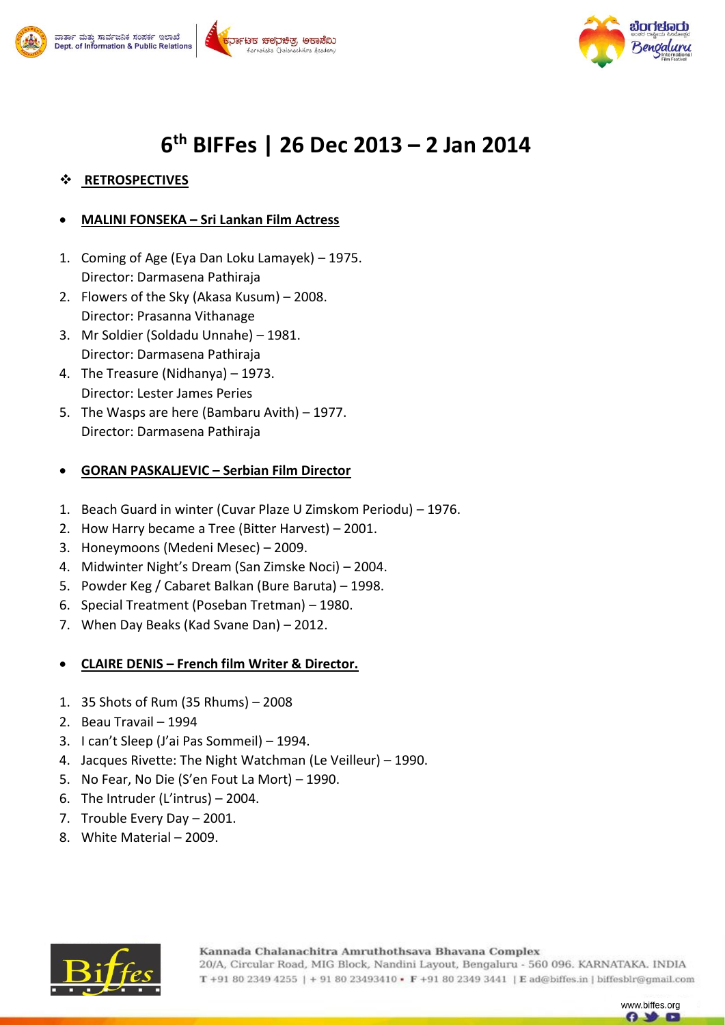





# **6 th BIFFes | 26 Dec 2013 – 2 Jan 2014**

# **RETROSPECTIVES**

# **MALINI FONSEKA – Sri Lankan Film Actress**

- 1. Coming of Age (Eya Dan Loku Lamayek) 1975. Director: Darmasena Pathiraja
- 2. Flowers of the Sky (Akasa Kusum) 2008. Director: Prasanna Vithanage
- 3. Mr Soldier (Soldadu Unnahe) 1981. Director: Darmasena Pathiraja
- 4. The Treasure (Nidhanya) 1973. Director: Lester James Peries
- 5. The Wasps are here (Bambaru Avith) 1977. Director: Darmasena Pathiraja

# **GORAN PASKALJEVIC – Serbian Film Director**

- 1. Beach Guard in winter (Cuvar Plaze U Zimskom Periodu) 1976.
- 2. How Harry became a Tree (Bitter Harvest) 2001.
- 3. Honeymoons (Medeni Mesec) 2009.
- 4. Midwinter Night's Dream (San Zimske Noci) 2004.
- 5. Powder Keg / Cabaret Balkan (Bure Baruta) 1998.
- 6. Special Treatment (Poseban Tretman) 1980.
- 7. When Day Beaks (Kad Svane Dan) 2012.
- **CLAIRE DENIS – French film Writer & Director.**
- 1. 35 Shots of Rum (35 Rhums) 2008
- 2. Beau Travail 1994
- 3. I can't Sleep (J'ai Pas Sommeil) 1994.
- 4. Jacques Rivette: The Night Watchman (Le Veilleur) 1990.
- 5. No Fear, No Die (S'en Fout La Mort) 1990.
- 6. The Intruder (L'intrus) 2004.
- 7. Trouble Every Day 2001.
- 8. White Material 2009.



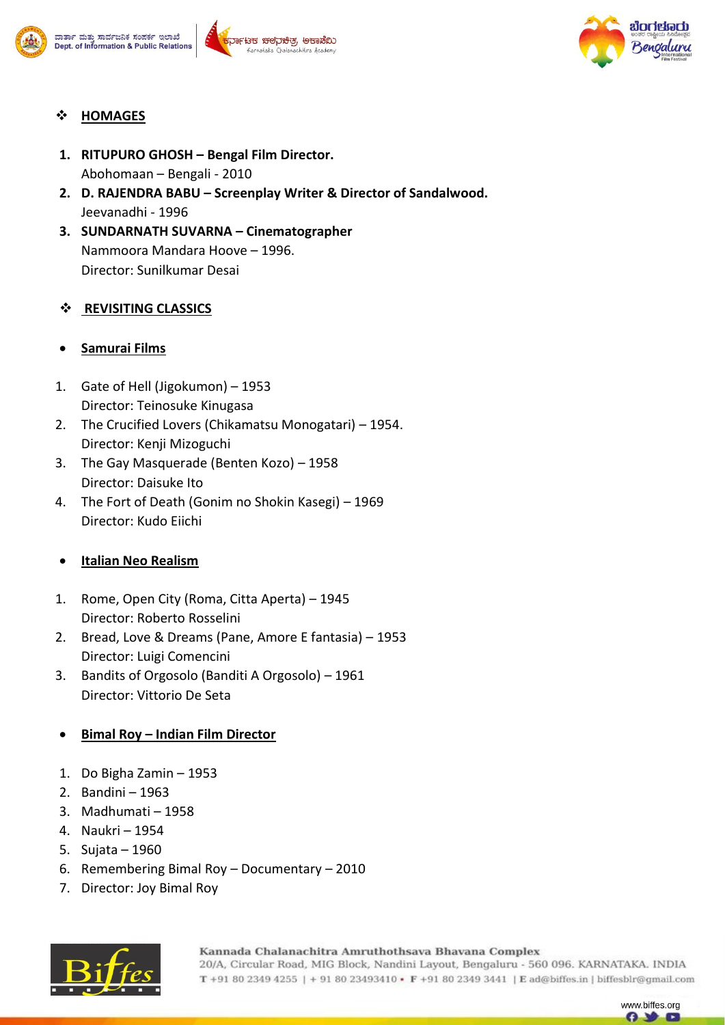



## **HOMAGES**

- **1. RITUPURO GHOSH – Bengal Film Director.** Abohomaan – Bengali - 2010
- **2. D. RAJENDRA BABU – Screenplay Writer & Director of Sandalwood.** Jeevanadhi - 1996
- **3. SUNDARNATH SUVARNA – Cinematographer** Nammoora Mandara Hoove – 1996. Director: Sunilkumar Desai

#### **REVISITING CLASSICS**

## **Samurai Films**

- 1. Gate of Hell (Jigokumon) 1953 Director: Teinosuke Kinugasa
- 2. The Crucified Lovers (Chikamatsu Monogatari) 1954. Director: Kenji Mizoguchi
- 3. The Gay Masquerade (Benten Kozo) 1958 Director: Daisuke Ito
- 4. The Fort of Death (Gonim no Shokin Kasegi) 1969 Director: Kudo Eiichi

#### **Italian Neo Realism**

- 1. Rome, Open City (Roma, Citta Aperta) 1945 Director: Roberto Rosselini
- 2. Bread, Love & Dreams (Pane, Amore E fantasia) 1953 Director: Luigi Comencini
- 3. Bandits of Orgosolo (Banditi A Orgosolo) 1961 Director: Vittorio De Seta

## **Bimal Roy – Indian Film Director**

- 1. Do Bigha Zamin 1953
- 2. Bandini 1963
- 3. Madhumati 1958
- 4. Naukri 1954
- 5. Sujata 1960
- 6. Remembering Bimal Roy Documentary 2010
- 7. Director: Joy Bimal Roy



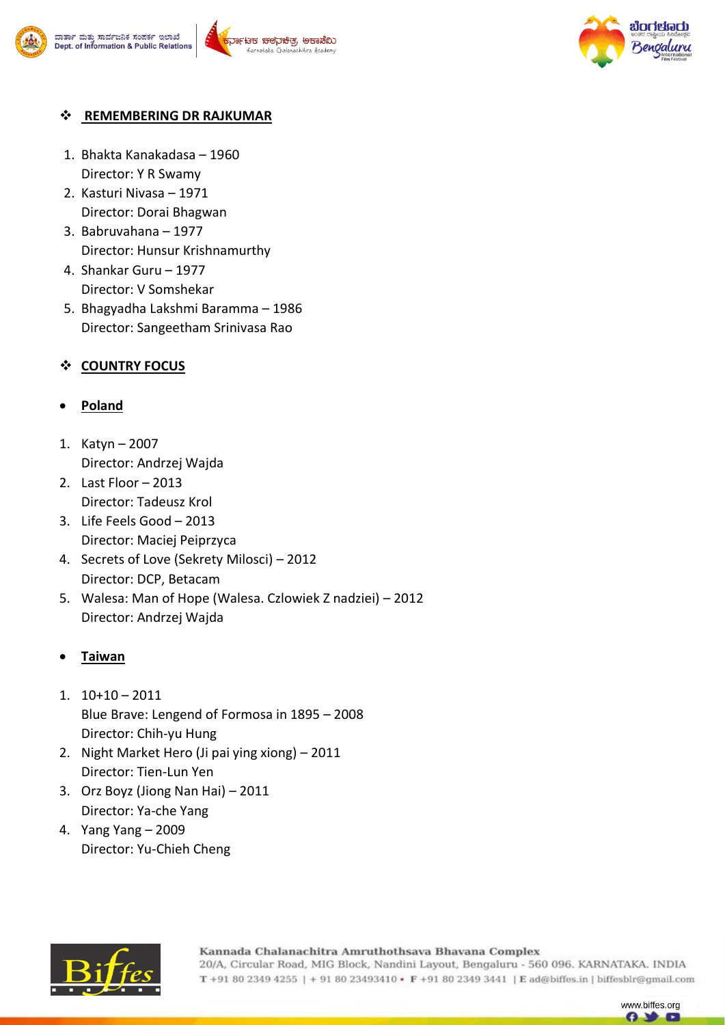



## $\div$  REMEMBERING DR RAJKUMAR

- 1. Bhakta Kanakadasa 1960 Director: Y R Swamy
- 2. Kasturi Nivasa 1971 Director: Dorai Bhagwan
- 3. Babruvahana 1977 Director: Hunsur Krishnamurthy
- 4. Shankar Guru 1977 Director: V Somshekar
- 5. Bhagyadha Lakshmi Baramma 1986 Director: Sangeetham Srinivasa Rao

## **COUNTRY FOCUS**

## **Poland**

- 1. Katyn 2007 Director: Andrzej Wajda
- 2. Last Floor 2013 Director: Tadeusz Krol
- 3. Life Feels Good 2013 Director: Maciej Peiprzyca
- 4. Secrets of Love (Sekrety Milosci) 2012 Director: DCP, Betacam
- 5. Walesa: Man of Hope (Walesa. Czlowiek Z nadziei) 2012 Director: Andrzej Wajda

#### **Taiwan**

- 1. 10+10 2011 Blue Brave: Lengend of Formosa in 1895 – 2008 Director: Chih-yu Hung
- 2. Night Market Hero (Ji pai ying xiong) 2011 Director: Tien-Lun Yen
- 3. Orz Boyz (Jiong Nan Hai) 2011 Director: Ya-che Yang
- 4. Yang Yang 2009 Director: Yu-Chieh Cheng



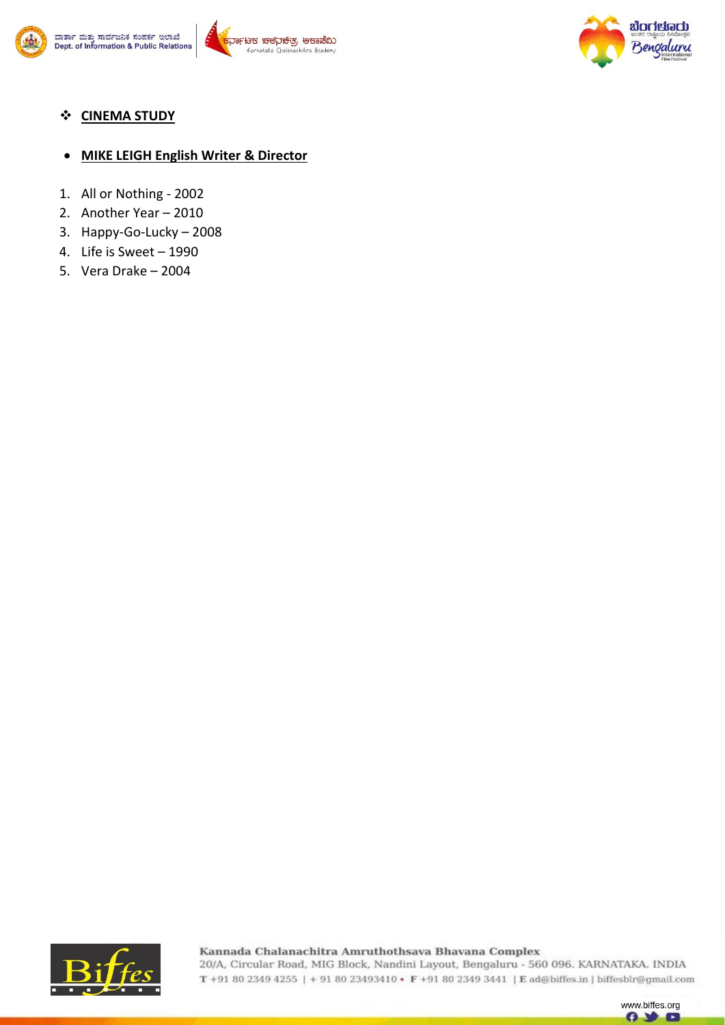



**CINEMA STUDY** 

#### **MIKE LEIGH English Writer & Director**

- 1. All or Nothing 2002
- 2. Another Year 2010
- 3. Happy-Go-Lucky 2008
- 4. Life is Sweet 1990
- 5. Vera Drake 2004



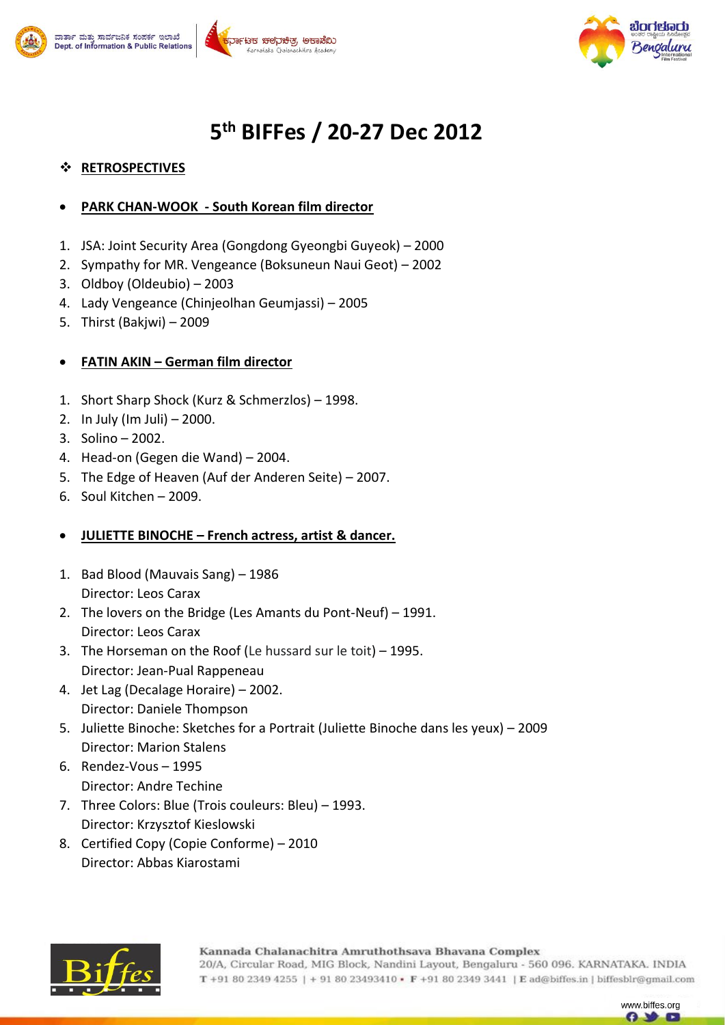





# **5 th BIFFes / 20-27 Dec 2012**

## **RETROSPECTIVES**

- **PARK CHAN-WOOK - South Korean film director**
- 1. JSA: Joint Security Area (Gongdong Gyeongbi Guyeok) 2000
- 2. Sympathy for MR. Vengeance (Boksuneun Naui Geot) 2002
- 3. Oldboy (Oldeubio) 2003
- 4. Lady Vengeance (Chinjeolhan Geumjassi) 2005
- 5. Thirst (Bakjwi) 2009

#### **FATIN AKIN – German film director**

- 1. Short Sharp Shock (Kurz & Schmerzlos) 1998.
- 2. In July (Im Juli) 2000.
- 3. Solino 2002.
- 4. Head-on (Gegen die Wand) 2004.
- 5. The Edge of Heaven (Auf der Anderen Seite) 2007.
- 6. Soul Kitchen 2009.

#### **JULIETTE BINOCHE – French actress, artist & dancer.**

- 1. Bad Blood (Mauvais Sang) 1986 Director: Leos Carax
- 2. The lovers on the Bridge (Les Amants du Pont-Neuf) 1991. Director: Leos Carax
- 3. The Horseman on the Roof (Le hussard sur le toit) 1995. Director: Jean-Pual Rappeneau
- 4. Jet Lag (Decalage Horaire) 2002. Director: Daniele Thompson
- 5. Juliette Binoche: Sketches for a Portrait (Juliette Binoche dans les yeux) 2009 Director: Marion Stalens
- 6. Rendez-Vous 1995 Director: Andre Techine
- 7. Three Colors: Blue (Trois couleurs: Bleu) 1993. Director: Krzysztof Kieslowski
- 8. Certified Copy (Copie Conforme) 2010 Director: Abbas Kiarostami



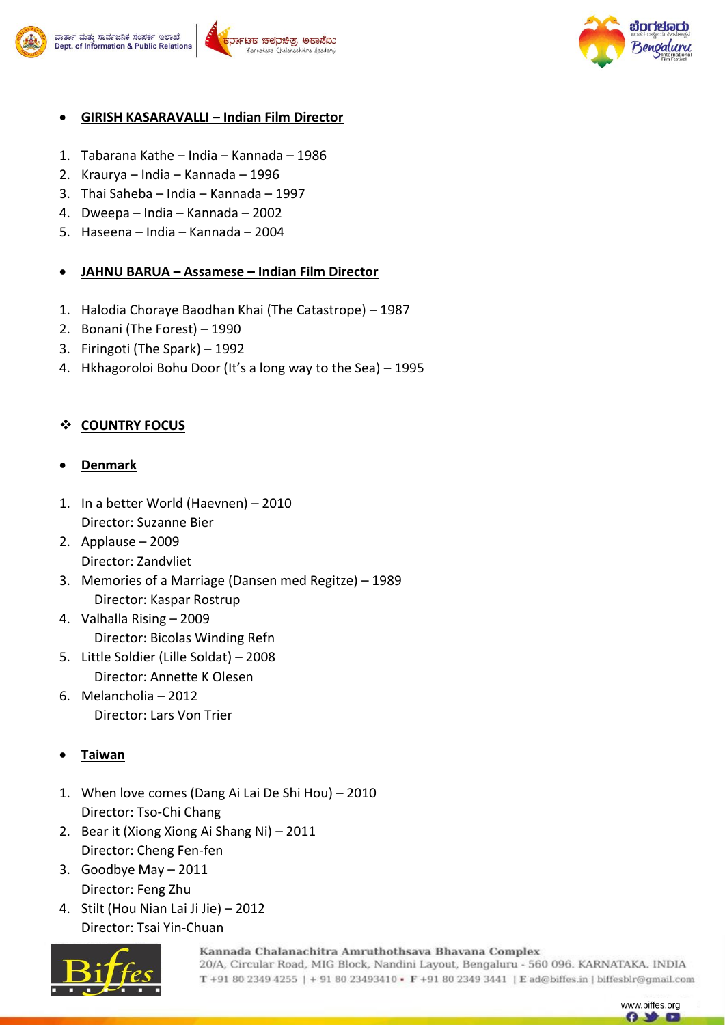

#### .<br>ಕರ್ತಾ ಮತ್ತು ಸಾರ್ವಜನಿಕ ಸಂಪರ್ಕ ಇಲಾಖೆ <sup>-</sup>ಟಕ ಚಲನಿಚಿತ, ಅಕಾಡೆಬ Dept. of Information & Public Relations



## **GIRISH KASARAVALLI – Indian Film Director**

- 1. Tabarana Kathe India Kannada 1986
- 2. Kraurya India Kannada 1996
- 3. Thai Saheba India Kannada 1997
- 4. Dweepa India Kannada 2002
- 5. Haseena India Kannada 2004

## **JAHNU BARUA – Assamese – Indian Film Director**

- 1. Halodia Choraye Baodhan Khai (The Catastrope) 1987
- 2. Bonani (The Forest) 1990
- 3. Firingoti (The Spark) 1992
- 4. Hkhagoroloi Bohu Door (It's a long way to the Sea) 1995

## **COUNTRY FOCUS**

#### **Denmark**

- 1. In a better World (Haevnen) 2010 Director: Suzanne Bier
- 2. Applause 2009 Director: Zandvliet
- 3. Memories of a Marriage (Dansen med Regitze) 1989 Director: Kaspar Rostrup
- 4. Valhalla Rising 2009 Director: Bicolas Winding Refn
- 5. Little Soldier (Lille Soldat) 2008 Director: Annette K Olesen
- 6. Melancholia 2012 Director: Lars Von Trier

## **Taiwan**

- 1. When love comes (Dang Ai Lai De Shi Hou) 2010 Director: Tso-Chi Chang
- 2. Bear it (Xiong Xiong Ai Shang Ni) 2011 Director: Cheng Fen-fen
- 3. Goodbye May 2011 Director: Feng Zhu
- 4. Stilt (Hou Nian Lai Ji Jie) 2012 Director: Tsai Yin-Chuan



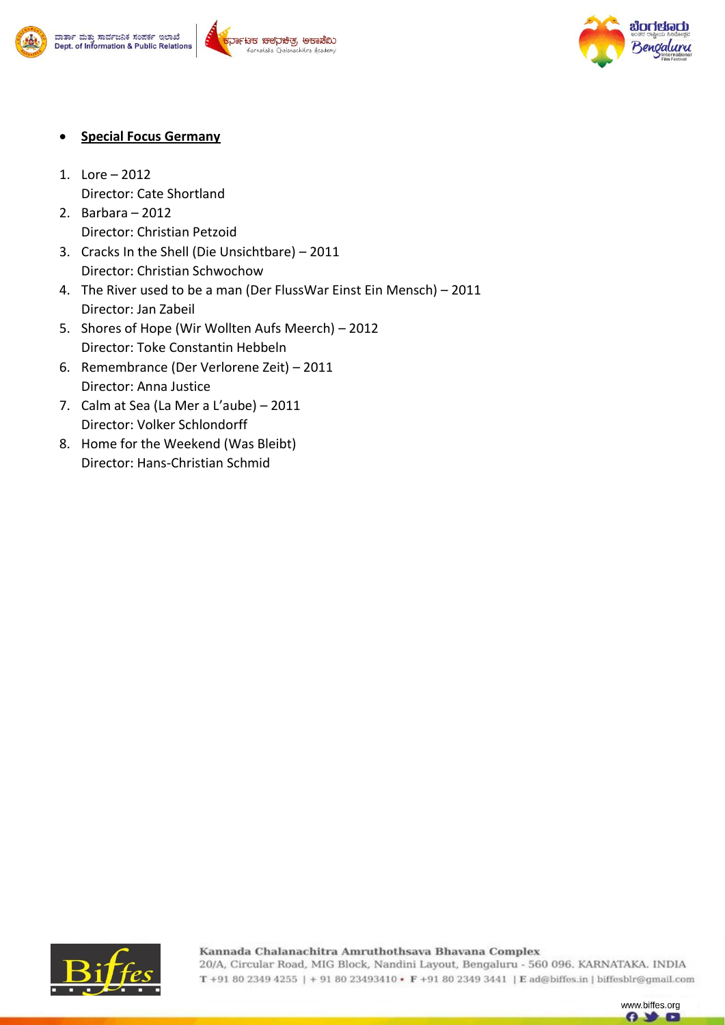







- **Special Focus Germany**
- 1. Lore 2012 Director: Cate Shortland
- 2. Barbara 2012 Director: Christian Petzoid
- 3. Cracks In the Shell (Die Unsichtbare) 2011 Director: Christian Schwochow
- 4. The River used to be a man (Der FlussWar Einst Ein Mensch) 2011 Director: Jan Zabeil
- 5. Shores of Hope (Wir Wollten Aufs Meerch) 2012 Director: Toke Constantin Hebbeln
- 6. Remembrance (Der Verlorene Zeit) 2011 Director: Anna Justice
- 7. Calm at Sea (La Mer a L'aube) 2011 Director: Volker Schlondorff
- 8. Home for the Weekend (Was Bleibt) Director: Hans-Christian Schmid



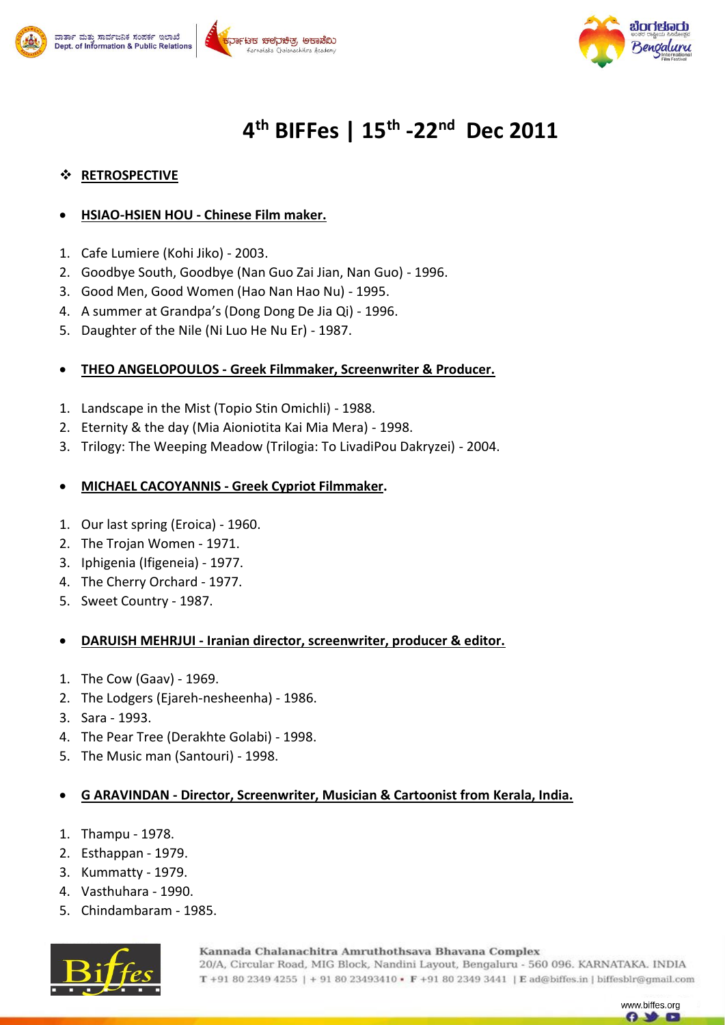





# **4 th BIFFes | 15th -22nd Dec 2011**

## **RETROSPECTIVE**

#### **HSIAO-HSIEN HOU - Chinese Film maker.**

- 1. Cafe Lumiere (Kohi Jiko) 2003.
- 2. Goodbye South, Goodbye (Nan Guo Zai Jian, Nan Guo) 1996.
- 3. Good Men, Good Women (Hao Nan Hao Nu) 1995.
- 4. A summer at Grandpa's (Dong Dong De Jia Qi) 1996.
- 5. Daughter of the Nile (Ni Luo He Nu Er) 1987.

#### **THEO ANGELOPOULOS - Greek Filmmaker, Screenwriter & Producer.**

- 1. Landscape in the Mist (Topio Stin Omichli) 1988.
- 2. Eternity & the day (Mia Aioniotita Kai Mia Mera) 1998.
- 3. Trilogy: The Weeping Meadow (Trilogia: To LivadiPou Dakryzei) 2004.

#### **MICHAEL CACOYANNIS - Greek Cypriot Filmmaker.**

- 1. Our last spring (Eroica) 1960.
- 2. The Trojan Women 1971.
- 3. Iphigenia (Ifigeneia) 1977.
- 4. The Cherry Orchard 1977.
- 5. Sweet Country 1987.

#### **DARUISH MEHRJUI - Iranian director, screenwriter, producer & editor.**

- 1. The Cow (Gaav) 1969.
- 2. The Lodgers (Ejareh-nesheenha) 1986.
- 3. Sara 1993.
- 4. The Pear Tree (Derakhte Golabi) 1998.
- 5. The Music man (Santouri) 1998.

#### **G ARAVINDAN - Director, Screenwriter, Musician & Cartoonist from Kerala, India.**

- 1. Thampu 1978.
- 2. Esthappan 1979.
- 3. Kummatty 1979.
- 4. Vasthuhara 1990.
- 5. Chindambaram 1985.



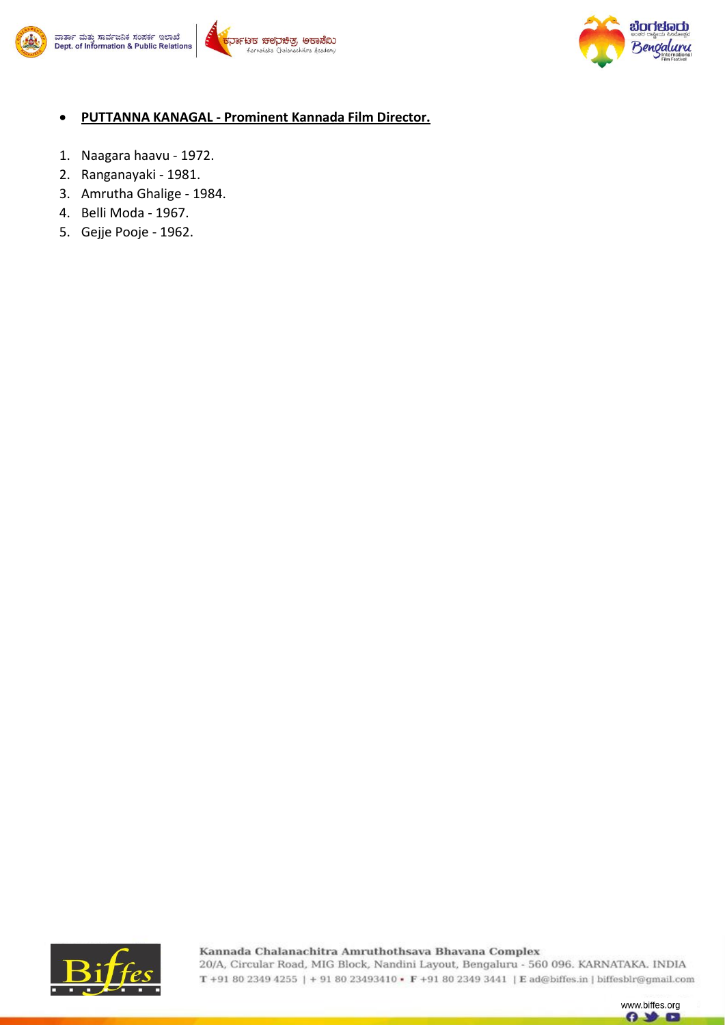





#### **PUTTANNA KANAGAL - Prominent Kannada Film Director.**

- 1. Naagara haavu 1972.
- 2. Ranganayaki 1981.
- 3. Amrutha Ghalige 1984.
- 4. Belli Moda 1967.
- 5. Gejje Pooje 1962.



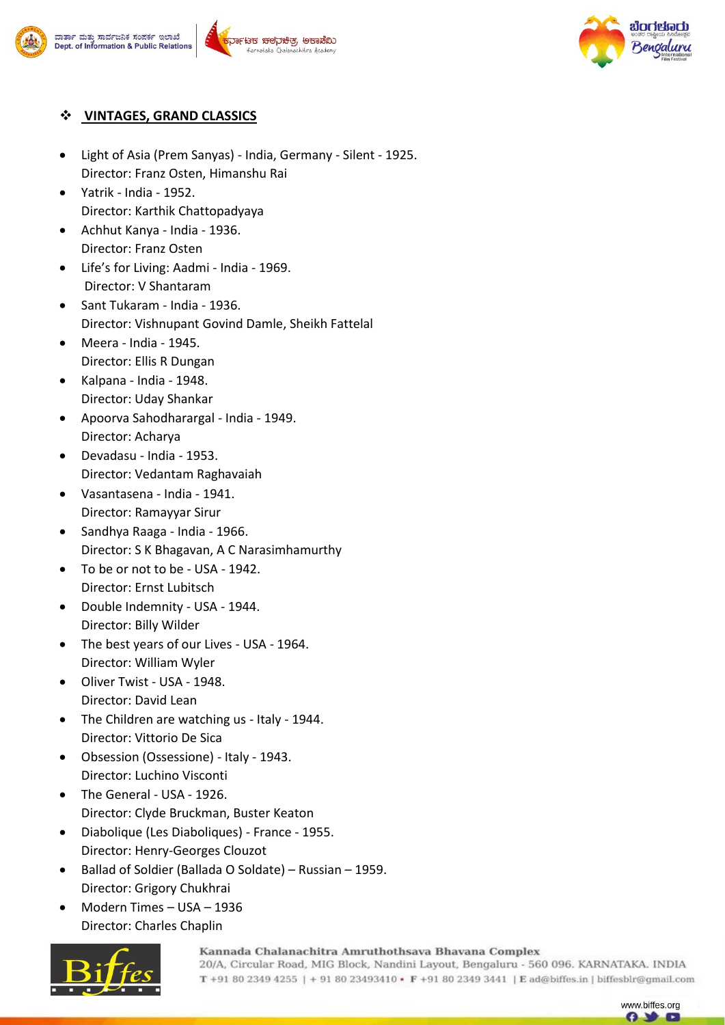





### **VINTAGES, GRAND CLASSICS**

- Light of Asia (Prem Sanyas) India, Germany Silent 1925. Director: Franz Osten, Himanshu Rai
- Yatrik India 1952. Director: Karthik Chattopadyaya
- Achhut Kanya India 1936. Director: Franz Osten
- Life's for Living: Aadmi India 1969. Director: V Shantaram
- Sant Tukaram India 1936. Director: Vishnupant Govind Damle, Sheikh Fattelal
- Meera India 1945. Director: Ellis R Dungan
- Kalpana India 1948. Director: Uday Shankar
- Apoorva Sahodharargal India 1949. Director: Acharya
- Devadasu India 1953. Director: Vedantam Raghavaiah
- Vasantasena India 1941. Director: Ramayyar Sirur
- Sandhya Raaga India 1966. Director: S K Bhagavan, A C Narasimhamurthy
- To be or not to be USA 1942. Director: Ernst Lubitsch
- Double Indemnity USA 1944. Director: Billy Wilder
- The best years of our Lives USA 1964. Director: William Wyler
- Oliver Twist USA 1948. Director: David Lean
- The Children are watching us Italy 1944. Director: Vittorio De Sica
- Obsession (Ossessione) Italy 1943. Director: Luchino Visconti
- The General USA 1926. Director: Clyde Bruckman, Buster Keaton
- Diabolique (Les Diaboliques) France 1955. Director: Henry-Georges Clouzot
- Ballad of Soldier (Ballada O Soldate) Russian 1959. Director: Grigory Chukhrai
- Modern Times USA 1936 Director: Charles Chaplin



Kannada Chalanachitra Amruthothsava Bhavana Complex

20/A, Circular Road, MIG Block, Nandini Layout, Bengaluru - 560 096. KARNATAKA. INDIA T +91 80 2349 4255 | + 91 80 23493410 • F +91 80 2349 3441 | E ad@biffes.in | biffesblr@gmail.com

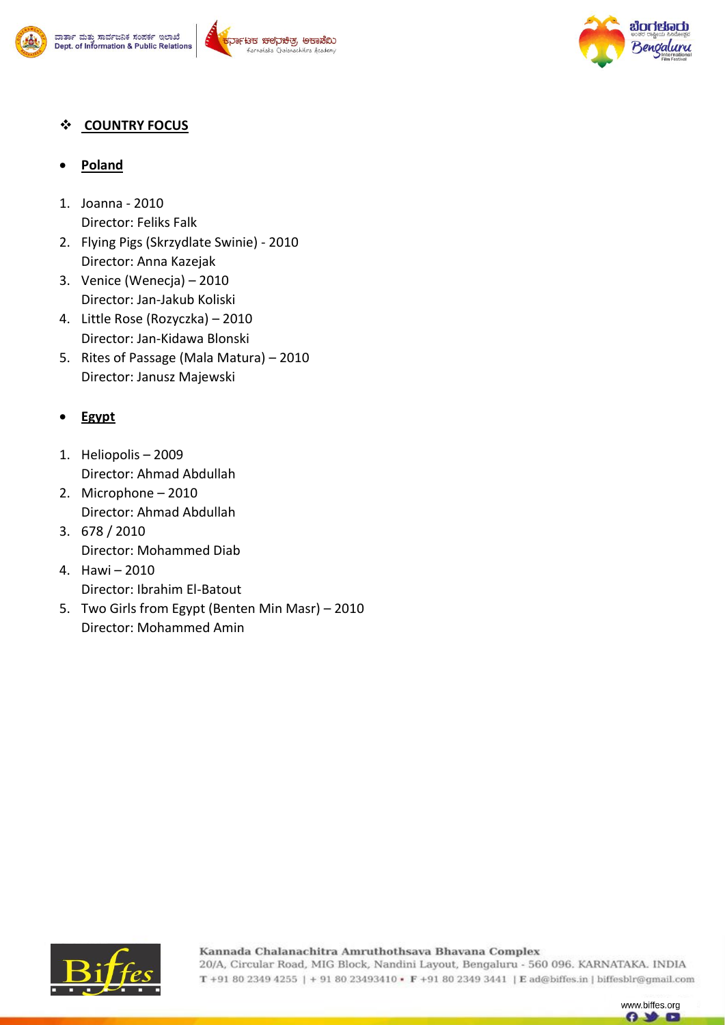





## **COUNTRY FOCUS**

## **Poland**

- 1. Joanna 2010 Director: Feliks Falk
- 2. Flying Pigs (Skrzydlate Swinie) 2010 Director: Anna Kazejak
- 3. Venice (Wenecja) 2010 Director: Jan-Jakub Koliski
- 4. Little Rose (Rozyczka) 2010 Director: Jan-Kidawa Blonski
- 5. Rites of Passage (Mala Matura) 2010 Director: Janusz Majewski

# **Egypt**

- 1. Heliopolis 2009 Director: Ahmad Abdullah
- 2. Microphone 2010 Director: Ahmad Abdullah
- 3. 678 / 2010 Director: Mohammed Diab
- 4. Hawi 2010 Director: Ibrahim El-Batout
- 5. Two Girls from Egypt (Benten Min Masr) 2010 Director: Mohammed Amin



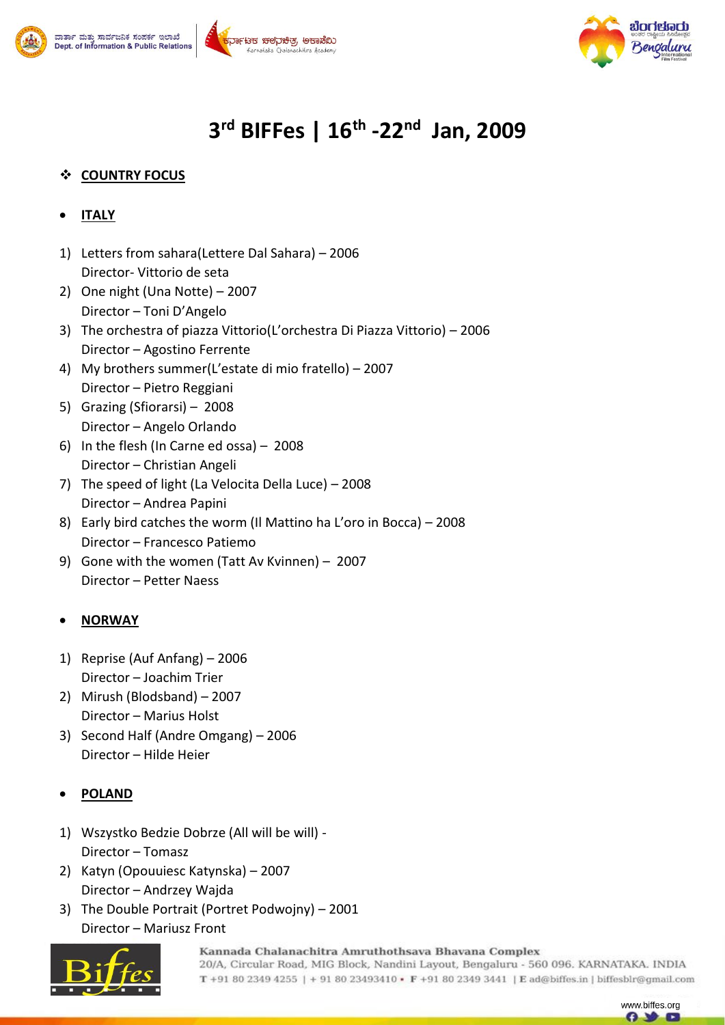





# **3 rd BIFFes | 16th -22nd Jan, 2009**

# **COUNTRY FOCUS**

- **ITALY**
- 1) Letters from sahara(Lettere Dal Sahara) 2006 Director- Vittorio de seta
- 2) One night (Una Notte) 2007 Director – Toni D'Angelo
- 3) The orchestra of piazza Vittorio(L'orchestra Di Piazza Vittorio) 2006 Director – Agostino Ferrente
- 4) My brothers summer(L'estate di mio fratello) 2007 Director – Pietro Reggiani
- 5) Grazing (Sfiorarsi) 2008 Director – Angelo Orlando
- 6) In the flesh (In Carne ed ossa) 2008 Director – Christian Angeli
- 7) The speed of light (La Velocita Della Luce) 2008 Director – Andrea Papini
- 8) Early bird catches the worm (Il Mattino ha L'oro in Bocca) 2008 Director – Francesco Patiemo
- 9) Gone with the women (Tatt Av Kvinnen) 2007 Director – Petter Naess

## **NORWAY**

- 1) Reprise (Auf Anfang) 2006 Director – Joachim Trier
- 2) Mirush (Blodsband) 2007 Director – Marius Holst
- 3) Second Half (Andre Omgang) 2006 Director – Hilde Heier

## **POLAND**

- 1) Wszystko Bedzie Dobrze (All will be will) Director – Tomasz
- 2) Katyn (Opouuiesc Katynska) 2007 Director – Andrzey Wajda
- 3) The Double Portrait (Portret Podwojny) 2001 Director – Mariusz Front



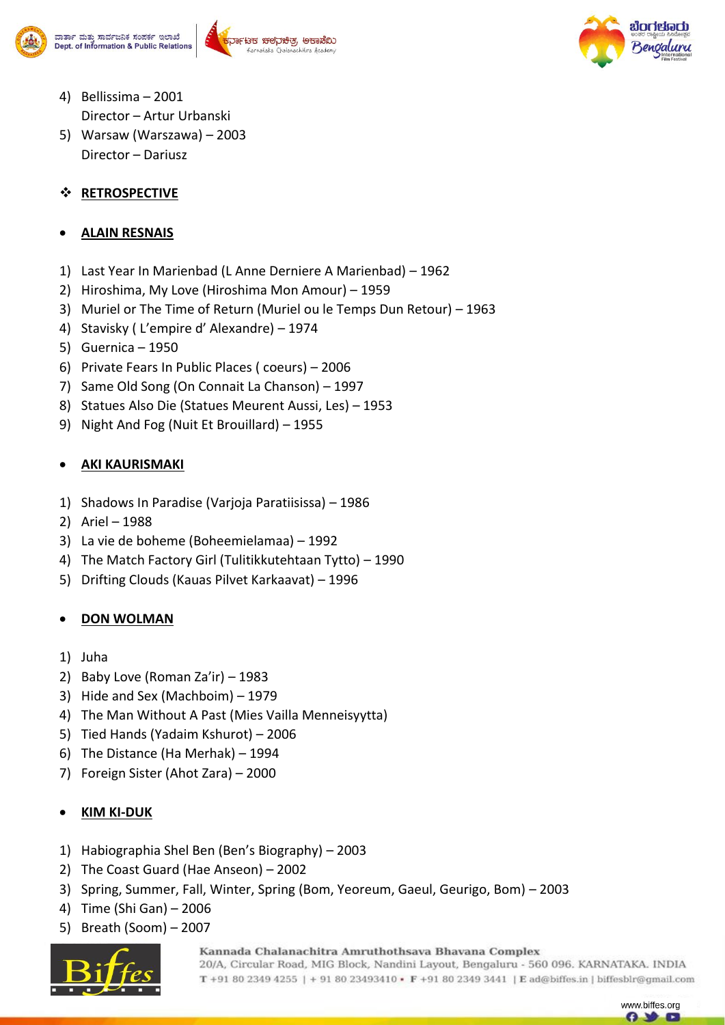





- 4) Bellissima 2001 Director – Artur Urbanski
- 5) Warsaw (Warszawa) 2003 Director – Dariusz

## **RETROSPECTIVE**

## **ALAIN RESNAIS**

- 1) Last Year In Marienbad (L Anne Derniere A Marienbad) 1962
- 2) Hiroshima, My Love (Hiroshima Mon Amour) 1959
- 3) Muriel or The Time of Return (Muriel ou le Temps Dun Retour) 1963
- 4) Stavisky ( L'empire d' Alexandre) 1974
- 5) Guernica 1950
- 6) Private Fears In Public Places ( coeurs) 2006
- 7) Same Old Song (On Connait La Chanson) 1997
- 8) Statues Also Die (Statues Meurent Aussi, Les) 1953
- 9) Night And Fog (Nuit Et Brouillard) 1955

## **AKI KAURISMAKI**

- 1) Shadows In Paradise (Varjoja Paratiisissa) 1986
- 2) Ariel 1988
- 3) La vie de boheme (Boheemielamaa) 1992
- 4) The Match Factory Girl (Tulitikkutehtaan Tytto) 1990
- 5) Drifting Clouds (Kauas Pilvet Karkaavat) 1996

## **DON WOLMAN**

- 1) Juha
- 2) Baby Love (Roman Za'ir) 1983
- 3) Hide and Sex (Machboim) 1979
- 4) The Man Without A Past (Mies Vailla Menneisyytta)
- 5) Tied Hands (Yadaim Kshurot) 2006
- 6) The Distance (Ha Merhak) 1994
- 7) Foreign Sister (Ahot Zara) 2000

## **KIM KI-DUK**

- 1) Habiographia Shel Ben (Ben's Biography) 2003
- 2) The Coast Guard (Hae Anseon) 2002
- 3) Spring, Summer, Fall, Winter, Spring (Bom, Yeoreum, Gaeul, Geurigo, Bom) 2003
- 4) Time (Shi Gan) 2006
- 5) Breath (Soom) 2007



Kannada Chalanachitra Amruthothsava Bhavana Complex

20/A, Circular Road, MIG Block, Nandini Layout, Bengaluru - 560 096. KARNATAKA. INDIA T +91 80 2349 4255 | + 91 80 23493410 • F +91 80 2349 3441 | E ad@biffes.in | biffesblr@gmail.com

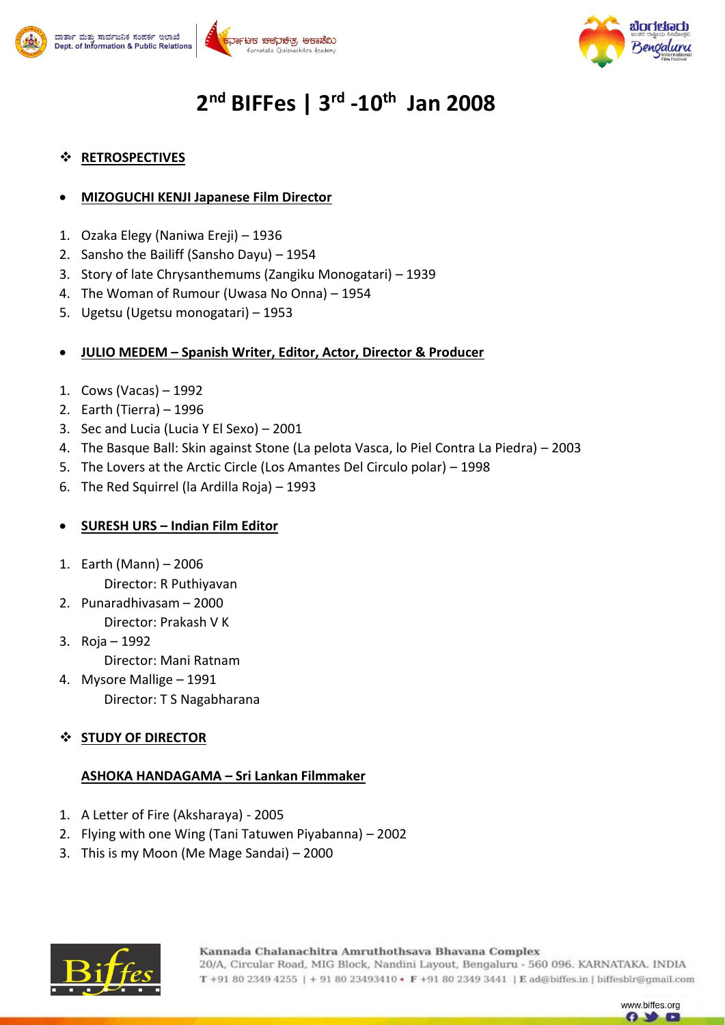





# **2 nd BIFFes | 3 rd -10th Jan 2008**

### **RETROSPECTIVES**

#### **MIZOGUCHI KENJI Japanese Film Director**

- 1. Ozaka Elegy (Naniwa Ereji) 1936
- 2. Sansho the Bailiff (Sansho Dayu) 1954
- 3. Story of late Chrysanthemums (Zangiku Monogatari) 1939
- 4. The Woman of Rumour (Uwasa No Onna) 1954
- 5. Ugetsu (Ugetsu monogatari) 1953

#### **JULIO MEDEM – Spanish Writer, Editor, Actor, Director & Producer**

- 1. Cows (Vacas) 1992
- 2. Earth (Tierra) 1996
- 3. Sec and Lucia (Lucia Y El Sexo) 2001
- 4. The Basque Ball: Skin against Stone (La pelota Vasca, lo Piel Contra La Piedra) 2003
- 5. The Lovers at the Arctic Circle (Los Amantes Del Circulo polar) 1998
- 6. The Red Squirrel (la Ardilla Roja) 1993

#### **SURESH URS – Indian Film Editor**

- 1. Earth (Mann) 2006 Director: R Puthiyavan
- 2. Punaradhivasam 2000 Director: Prakash V K
- 3. Roja 1992

Director: Mani Ratnam

4. Mysore Mallige – 1991 Director: T S Nagabharana

## **STUDY OF DIRECTOR**

#### **ASHOKA HANDAGAMA – Sri Lankan Filmmaker**

- 1. A Letter of Fire (Aksharaya) 2005
- 2. Flying with one Wing (Tani Tatuwen Piyabanna) 2002
- 3. This is my Moon (Me Mage Sandai) 2000



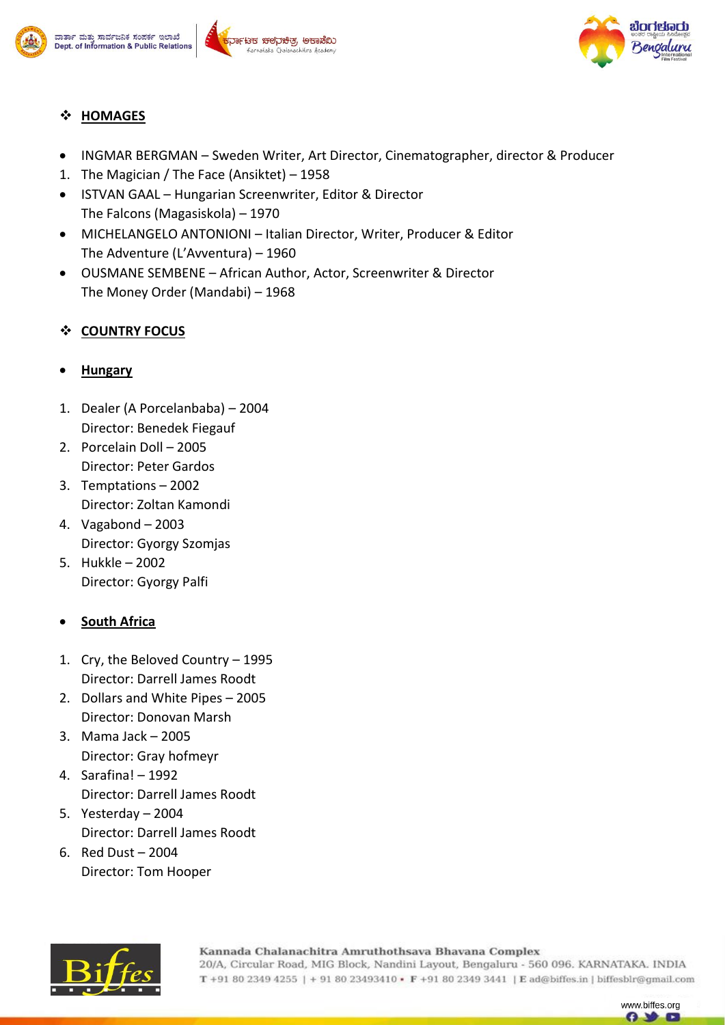







## **HOMAGES**

- INGMAR BERGMAN Sweden Writer, Art Director, Cinematographer, director & Producer
- 1. The Magician / The Face (Ansiktet) 1958
- ISTVAN GAAL Hungarian Screenwriter, Editor & Director The Falcons (Magasiskola) – 1970
- MICHELANGELO ANTONIONI Italian Director, Writer, Producer & Editor The Adventure (L'Avventura) – 1960
- OUSMANE SEMBENE African Author, Actor, Screenwriter & Director The Money Order (Mandabi) – 1968

## **COUNTRY FOCUS**

## **Hungary**

- 1. Dealer (A Porcelanbaba) 2004 Director: Benedek Fiegauf
- 2. Porcelain Doll 2005 Director: Peter Gardos
- 3. Temptations 2002 Director: Zoltan Kamondi
- 4. Vagabond 2003 Director: Gyorgy Szomjas
- 5. Hukkle 2002 Director: Gyorgy Palfi

## **South Africa**

- 1. Cry, the Beloved Country 1995 Director: Darrell James Roodt
- 2. Dollars and White Pipes 2005 Director: Donovan Marsh
- 3. Mama Jack 2005 Director: Gray hofmeyr
- 4. Sarafina! 1992 Director: Darrell James Roodt
- 5. Yesterday 2004 Director: Darrell James Roodt
- 6. Red Dust 2004 Director: Tom Hooper



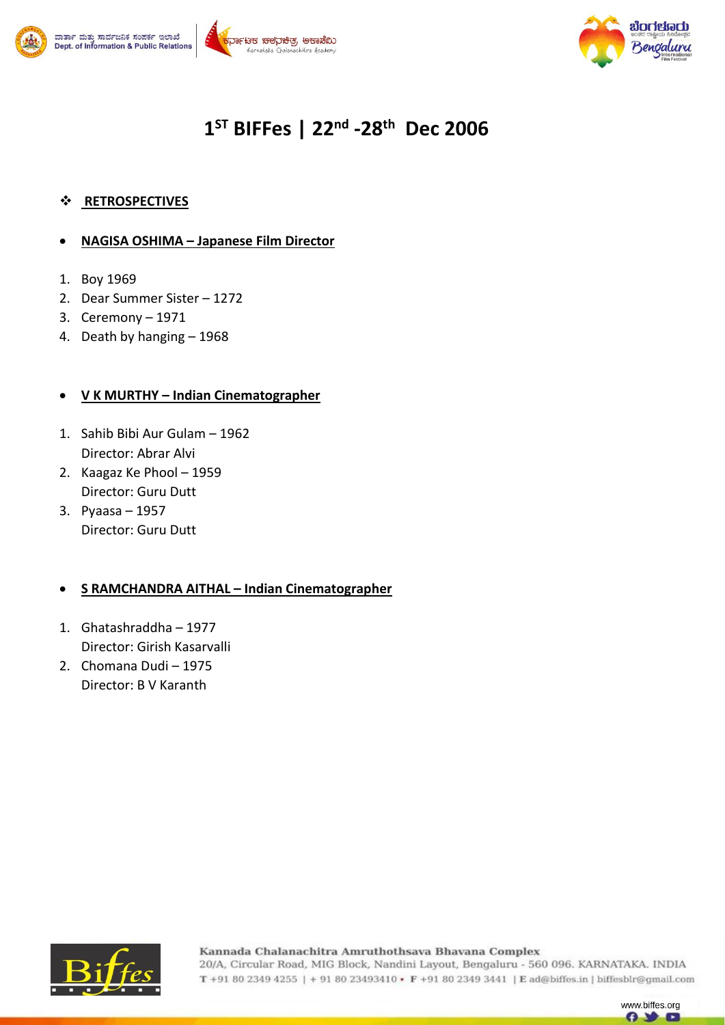





# **1 ST BIFFes | 22nd -28th Dec 2006**

#### **RETROSPECTIVES**

#### **NAGISA OSHIMA – Japanese Film Director**

- 1. Boy 1969
- 2. Dear Summer Sister 1272
- 3. Ceremony 1971
- 4. Death by hanging 1968

#### **V K MURTHY – Indian Cinematographer**

- 1. Sahib Bibi Aur Gulam 1962 Director: Abrar Alvi
- 2. Kaagaz Ke Phool 1959 Director: Guru Dutt
- 3. Pyaasa 1957 Director: Guru Dutt

#### **S RAMCHANDRA AITHAL – Indian Cinematographer**

- 1. Ghatashraddha 1977 Director: Girish Kasarvalli
- 2. Chomana Dudi 1975 Director: B V Karanth